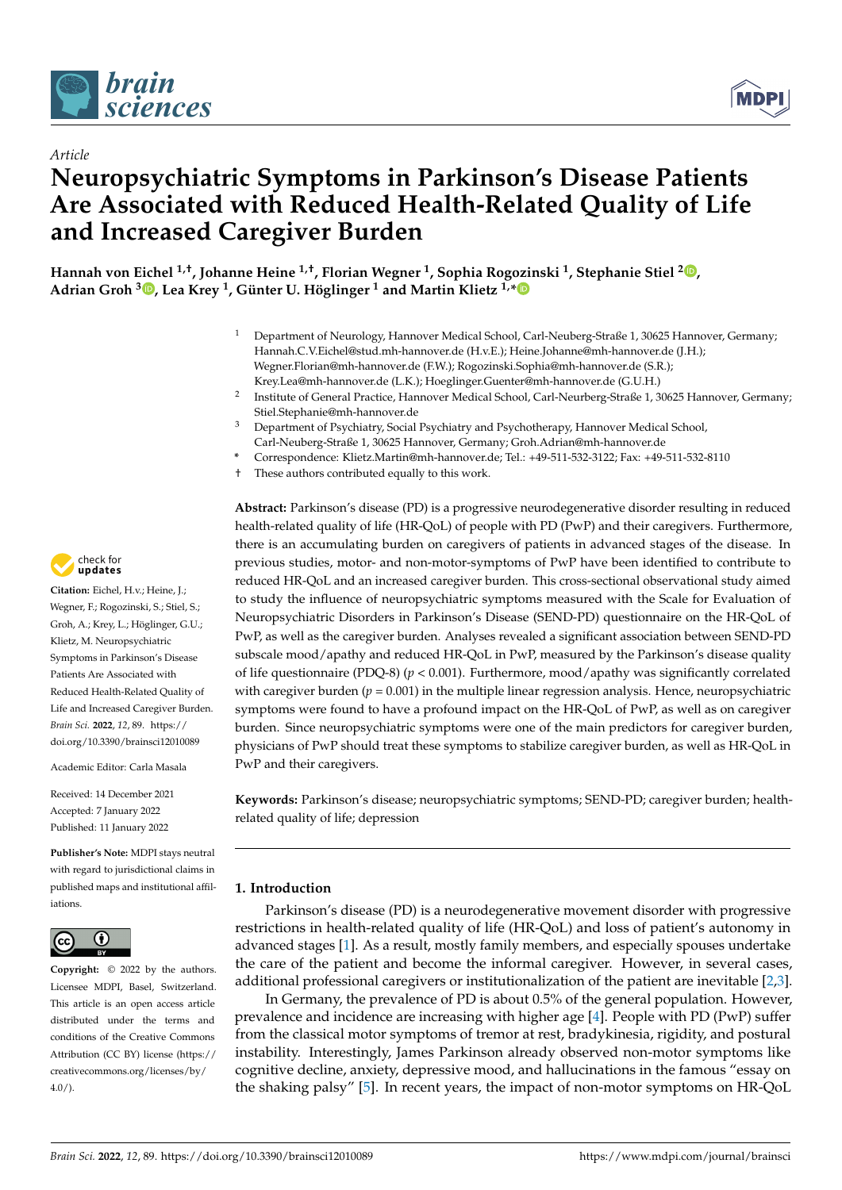



# *Article* **Neuropsychiatric Symptoms in Parkinson's Disease Patients Are Associated with Reduced Health-Related Quality of Life and Increased Caregiver Burden**

**Hannah von Eichel 1,†, Johanne Heine 1,†, Florian Wegner <sup>1</sup> , Sophia Rogozinski <sup>1</sup> , Stephanie Stiel <sup>2</sup> , Adrian Groh <sup>3</sup> , Lea Krey <sup>1</sup> , Günter U. Höglinger <sup>1</sup> and Martin Klietz 1,\***

- <sup>1</sup> Department of Neurology, Hannover Medical School, Carl-Neuberg-Straße 1, 30625 Hannover, Germany; Hannah.C.V.Eichel@stud.mh-hannover.de (H.v.E.); Heine.Johanne@mh-hannover.de (J.H.); Wegner.Florian@mh-hannover.de (F.W.); Rogozinski.Sophia@mh-hannover.de (S.R.); Krey.Lea@mh-hannover.de (L.K.); Hoeglinger.Guenter@mh-hannover.de (G.U.H.)
- 2 Institute of General Practice, Hannover Medical School, Carl-Neurberg-Straße 1, 30625 Hannover, Germany; Stiel.Stephanie@mh-hannover.de
- <sup>3</sup> Department of Psychiatry, Social Psychiatry and Psychotherapy, Hannover Medical School, Carl-Neuberg-Straße 1, 30625 Hannover, Germany; Groh.Adrian@mh-hannover.de
- **\*** Correspondence: Klietz.Martin@mh-hannover.de; Tel.: +49-511-532-3122; Fax: +49-511-532-8110
- † These authors contributed equally to this work.

**Abstract:** Parkinson's disease (PD) is a progressive neurodegenerative disorder resulting in reduced health-related quality of life (HR-QoL) of people with PD (PwP) and their caregivers. Furthermore, there is an accumulating burden on caregivers of patients in advanced stages of the disease. In previous studies, motor- and non-motor-symptoms of PwP have been identified to contribute to reduced HR-QoL and an increased caregiver burden. This cross-sectional observational study aimed to study the influence of neuropsychiatric symptoms measured with the Scale for Evaluation of Neuropsychiatric Disorders in Parkinson's Disease (SEND-PD) questionnaire on the HR-QoL of PwP, as well as the caregiver burden. Analyses revealed a significant association between SEND-PD subscale mood/apathy and reduced HR-QoL in PwP, measured by the Parkinson's disease quality of life questionnaire (PDQ-8)  $(p < 0.001)$ . Furthermore, mood/apathy was significantly correlated with caregiver burden ( $p = 0.001$ ) in the multiple linear regression analysis. Hence, neuropsychiatric symptoms were found to have a profound impact on the HR-QoL of PwP, as well as on caregiver burden. Since neuropsychiatric symptoms were one of the main predictors for caregiver burden, physicians of PwP should treat these symptoms to stabilize caregiver burden, as well as HR-QoL in PwP and their caregivers.

**Keywords:** Parkinson's disease; neuropsychiatric symptoms; SEND-PD; caregiver burden; healthrelated quality of life; depression

# **1. Introduction**

Parkinson's disease (PD) is a neurodegenerative movement disorder with progressive restrictions in health-related quality of life (HR-QoL) and loss of patient's autonomy in advanced stages [1]. As a result, mostly family members, and especially spouses undertake the care of the patient and become the informal caregiver. However, in several cases, additional professional caregivers or institutionalization of the patient are inevitable [2,3].

In Germany, the prevalence of PD is about 0.5% of the general population. However, prevalence and incidence are increasing with higher age [4]. People with PD (PwP) suffer from the classical motor symptoms of tremor at rest, bradykinesia, rigidity, and postural instability. Interestingly, James Parkinson already observed non-motor symptoms like cognitive decline, anxiety, depressive mood, and hallucinations in the famous "essay on the shaking palsy" [5]. In recent years, the impact of non-motor symptoms on HR-QoL



**Citation:** Eichel, H.v.; Heine, J.; Wegner, F.; Rogozinski, S.; Stiel, S.; Groh, A.; Krey, L.; Höglinger, G.U.; Klietz, M. Neuropsychiatric Symptoms in Parkinson's Disease Patients Are Associated with Reduced Health-Related Quality of Life and Increased Caregiver Burden. *Brain Sci.* **2022**, *12*, 89. https:// doi.org/10.3390/brainsci12010089

Academic Editor: Carla Masala

Received: 14 December 2021 Accepted: 7 January 2022 Published: 11 January 2022

**Publisher's Note:** MDPI stays neutral with regard to jurisdictional claims in published maps and institutional affiliations.



**Copyright:** © 2022 by the authors. Licensee MDPI, Basel, Switzerland. This article is an open access article distributed under the terms and conditions of the Creative Commons Attribution (CC BY) license (https:// creativecommons.org/licenses/by/  $4.0/$ ).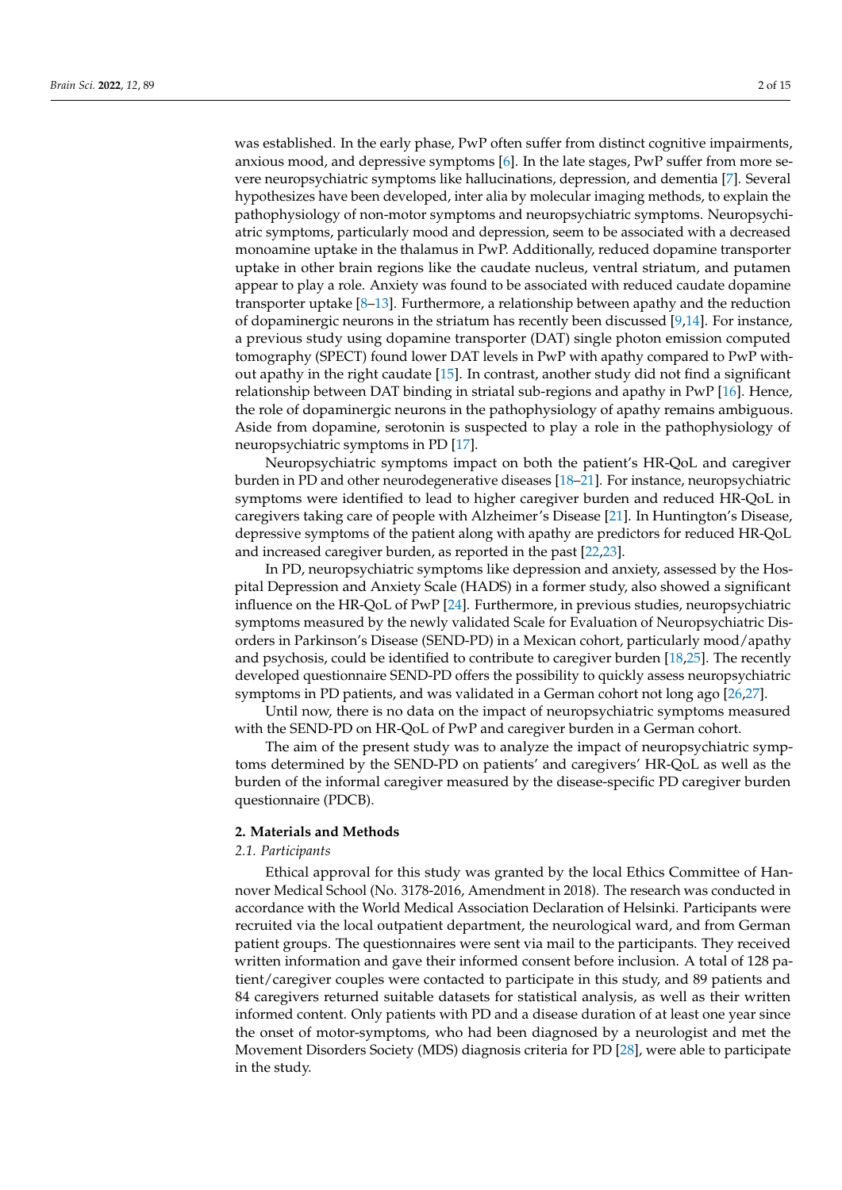was established. In the early phase, PwP often suffer from distinct cognitive impairments, anxious mood, and depressive symptoms [6]. In the late stages, PwP suffer from more severe neuropsychiatric symptoms like hallucinations, depression, and dementia [7]. Several hypothesizes have been developed, inter alia by molecular imaging methods, to explain the pathophysiology of non-motor symptoms and neuropsychiatric symptoms. Neuropsychiatric symptoms, particularly mood and depression, seem to be associated with a decreased monoamine uptake in the thalamus in PwP. Additionally, reduced dopamine transporter uptake in other brain regions like the caudate nucleus, ventral striatum, and putamen appear to play a role. Anxiety was found to be associated with reduced caudate dopamine transporter uptake  $[8-13]$ . Furthermore, a relationship between apathy and the reduction of dopaminergic neurons in the striatum has recently been discussed [9,14]. For instance, a previous study using dopamine transporter (DAT) single photon emission computed tomography (SPECT) found lower DAT levels in PwP with apathy compared to PwP without apathy in the right caudate [15]. In contrast, another study did not find a significant relationship between DAT binding in striatal sub-regions and apathy in PwP [16]. Hence, the role of dopaminergic neurons in the pathophysiology of apathy remains ambiguous. Aside from dopamine, serotonin is suspected to play a role in the pathophysiology of neuropsychiatric symptoms in PD [17].

Neuropsychiatric symptoms impact on both the patient's HR-QoL and caregiver burden in PD and other neurodegenerative diseases [18–21]. For instance, neuropsychiatric symptoms were identified to lead to higher caregiver burden and reduced HR-QoL in caregivers taking care of people with Alzheimer's Disease [21]. In Huntington's Disease, depressive symptoms of the patient along with apathy are predictors for reduced HR-QoL and increased caregiver burden, as reported in the past [22,23].

In PD, neuropsychiatric symptoms like depression and anxiety, assessed by the Hospital Depression and Anxiety Scale (HADS) in a former study, also showed a significant influence on the HR-QoL of PwP [24]. Furthermore, in previous studies, neuropsychiatric symptoms measured by the newly validated Scale for Evaluation of Neuropsychiatric Disorders in Parkinson's Disease (SEND-PD) in a Mexican cohort, particularly mood/apathy and psychosis, could be identified to contribute to caregiver burden [18,25]. The recently developed questionnaire SEND-PD offers the possibility to quickly assess neuropsychiatric symptoms in PD patients, and was validated in a German cohort not long ago [26,27].

Until now, there is no data on the impact of neuropsychiatric symptoms measured with the SEND-PD on HR-QoL of PwP and caregiver burden in a German cohort.

The aim of the present study was to analyze the impact of neuropsychiatric symptoms determined by the SEND-PD on patients' and caregivers' HR-QoL as well as the burden of the informal caregiver measured by the disease-specific PD caregiver burden questionnaire (PDCB).

#### **2. Materials and Methods**

# *2.1. Participants*

Ethical approval for this study was granted by the local Ethics Committee of Hannover Medical School (No. 3178-2016, Amendment in 2018). The research was conducted in accordance with the World Medical Association Declaration of Helsinki. Participants were recruited via the local outpatient department, the neurological ward, and from German patient groups. The questionnaires were sent via mail to the participants. They received written information and gave their informed consent before inclusion. A total of 128 patient/caregiver couples were contacted to participate in this study, and 89 patients and 84 caregivers returned suitable datasets for statistical analysis, as well as their written informed content. Only patients with PD and a disease duration of at least one year since the onset of motor-symptoms, who had been diagnosed by a neurologist and met the Movement Disorders Society (MDS) diagnosis criteria for PD [28], were able to participate in the study.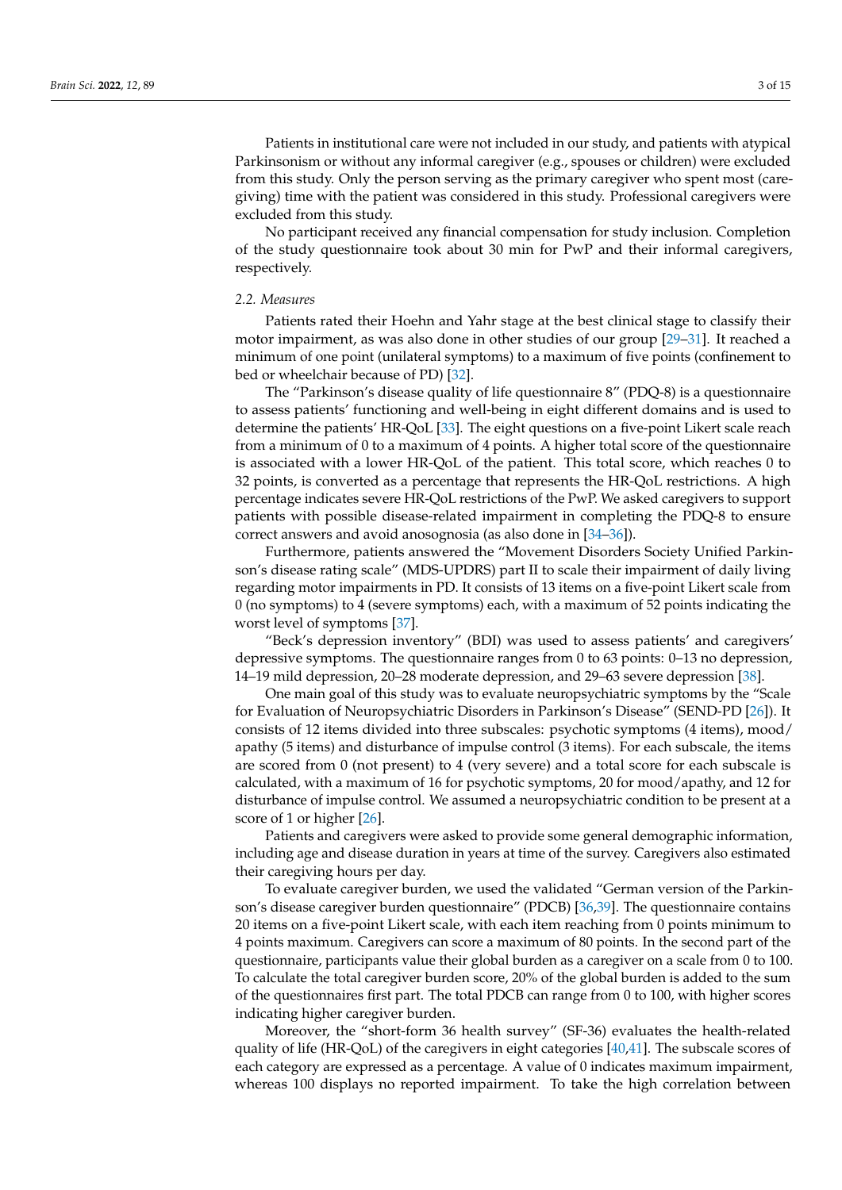Patients in institutional care were not included in our study, and patients with atypical Parkinsonism or without any informal caregiver (e.g., spouses or children) were excluded from this study. Only the person serving as the primary caregiver who spent most (caregiving) time with the patient was considered in this study. Professional caregivers were excluded from this study.

No participant received any financial compensation for study inclusion. Completion of the study questionnaire took about 30 min for PwP and their informal caregivers, respectively.

# *2.2. Measures*

Patients rated their Hoehn and Yahr stage at the best clinical stage to classify their motor impairment, as was also done in other studies of our group [29–31]. It reached a minimum of one point (unilateral symptoms) to a maximum of five points (confinement to bed or wheelchair because of PD) [32].

The "Parkinson's disease quality of life questionnaire 8" (PDQ-8) is a questionnaire to assess patients' functioning and well-being in eight different domains and is used to determine the patients' HR-QoL [33]. The eight questions on a five-point Likert scale reach from a minimum of 0 to a maximum of 4 points. A higher total score of the questionnaire is associated with a lower HR-QoL of the patient. This total score, which reaches 0 to 32 points, is converted as a percentage that represents the HR-QoL restrictions. A high percentage indicates severe HR-QoL restrictions of the PwP. We asked caregivers to support patients with possible disease-related impairment in completing the PDQ-8 to ensure correct answers and avoid anosognosia (as also done in [34–36]).

Furthermore, patients answered the "Movement Disorders Society Unified Parkinson's disease rating scale" (MDS-UPDRS) part II to scale their impairment of daily living regarding motor impairments in PD. It consists of 13 items on a five-point Likert scale from 0 (no symptoms) to 4 (severe symptoms) each, with a maximum of 52 points indicating the worst level of symptoms [37].

"Beck's depression inventory" (BDI) was used to assess patients' and caregivers' depressive symptoms. The questionnaire ranges from 0 to 63 points: 0–13 no depression, 14–19 mild depression, 20–28 moderate depression, and 29–63 severe depression [38].

One main goal of this study was to evaluate neuropsychiatric symptoms by the "Scale for Evaluation of Neuropsychiatric Disorders in Parkinson's Disease" (SEND-PD [26]). It consists of 12 items divided into three subscales: psychotic symptoms (4 items), mood/ apathy (5 items) and disturbance of impulse control (3 items). For each subscale, the items are scored from 0 (not present) to 4 (very severe) and a total score for each subscale is calculated, with a maximum of 16 for psychotic symptoms, 20 for mood/apathy, and 12 for disturbance of impulse control. We assumed a neuropsychiatric condition to be present at a score of 1 or higher [26].

Patients and caregivers were asked to provide some general demographic information, including age and disease duration in years at time of the survey. Caregivers also estimated their caregiving hours per day.

To evaluate caregiver burden, we used the validated "German version of the Parkinson's disease caregiver burden questionnaire" (PDCB) [36,39]. The questionnaire contains 20 items on a five-point Likert scale, with each item reaching from 0 points minimum to 4 points maximum. Caregivers can score a maximum of 80 points. In the second part of the questionnaire, participants value their global burden as a caregiver on a scale from 0 to 100. To calculate the total caregiver burden score, 20% of the global burden is added to the sum of the questionnaires first part. The total PDCB can range from 0 to 100, with higher scores indicating higher caregiver burden.

Moreover, the "short-form 36 health survey" (SF-36) evaluates the health-related quality of life (HR-QoL) of the caregivers in eight categories [40,41]. The subscale scores of each category are expressed as a percentage. A value of 0 indicates maximum impairment, whereas 100 displays no reported impairment. To take the high correlation between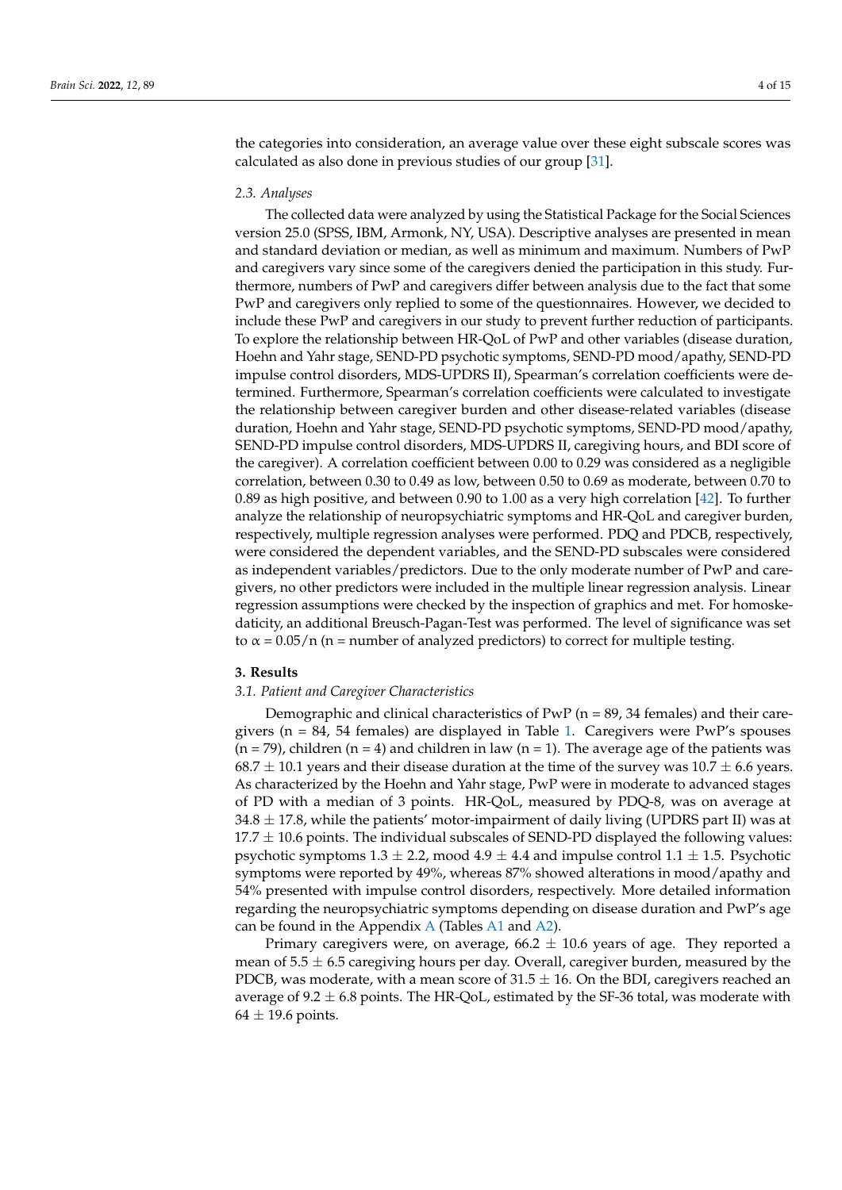the categories into consideration, an average value over these eight subscale scores was calculated as also done in previous studies of our group [31].

### *2.3. Analyses*

The collected data were analyzed by using the Statistical Package for the Social Sciences version 25.0 (SPSS, IBM, Armonk, NY, USA). Descriptive analyses are presented in mean and standard deviation or median, as well as minimum and maximum. Numbers of PwP and caregivers vary since some of the caregivers denied the participation in this study. Furthermore, numbers of PwP and caregivers differ between analysis due to the fact that some PwP and caregivers only replied to some of the questionnaires. However, we decided to include these PwP and caregivers in our study to prevent further reduction of participants. To explore the relationship between HR-QoL of PwP and other variables (disease duration, Hoehn and Yahr stage, SEND-PD psychotic symptoms, SEND-PD mood/apathy, SEND-PD impulse control disorders, MDS-UPDRS II), Spearman's correlation coefficients were determined. Furthermore, Spearman's correlation coefficients were calculated to investigate the relationship between caregiver burden and other disease-related variables (disease duration, Hoehn and Yahr stage, SEND-PD psychotic symptoms, SEND-PD mood/apathy, SEND-PD impulse control disorders, MDS-UPDRS II, caregiving hours, and BDI score of the caregiver). A correlation coefficient between 0.00 to 0.29 was considered as a negligible correlation, between 0.30 to 0.49 as low, between 0.50 to 0.69 as moderate, between 0.70 to 0.89 as high positive, and between 0.90 to 1.00 as a very high correlation [42]. To further analyze the relationship of neuropsychiatric symptoms and HR-QoL and caregiver burden, respectively, multiple regression analyses were performed. PDQ and PDCB, respectively, were considered the dependent variables, and the SEND-PD subscales were considered as independent variables/predictors. Due to the only moderate number of PwP and caregivers, no other predictors were included in the multiple linear regression analysis. Linear regression assumptions were checked by the inspection of graphics and met. For homoskedaticity, an additional Breusch-Pagan-Test was performed. The level of significance was set to  $\alpha$  = 0.05/n (n = number of analyzed predictors) to correct for multiple testing.

#### **3. Results**

# *3.1. Patient and Caregiver Characteristics*

Demographic and clinical characteristics of  $PWP$  ( $n = 89$ , 34 females) and their caregivers ( $n = 84$ , 54 females) are displayed in Table 1. Caregivers were PwP's spouses  $(n = 79)$ , children  $(n = 4)$  and children in law  $(n = 1)$ . The average age of the patients was  $68.7 \pm 10.1$  years and their disease duration at the time of the survey was  $10.7 \pm 6.6$  years. As characterized by the Hoehn and Yahr stage, PwP were in moderate to advanced stages of PD with a median of 3 points. HR-QoL, measured by PDQ-8, was on average at  $34.8 \pm 17.8$ , while the patients' motor-impairment of daily living (UPDRS part II) was at  $17.7 \pm 10.6$  points. The individual subscales of SEND-PD displayed the following values: psychotic symptoms  $1.3 \pm 2.2$ , mood  $4.9 \pm 4.4$  and impulse control  $1.1 \pm 1.5$ . Psychotic symptoms were reported by 49%, whereas 87% showed alterations in mood/apathy and 54% presented with impulse control disorders, respectively. More detailed information regarding the neuropsychiatric symptoms depending on disease duration and PwP's age can be found in the Appendix A (Tables A1 and A2).

Primary caregivers were, on average,  $66.2 \pm 10.6$  years of age. They reported a mean of  $5.5 \pm 6.5$  caregiving hours per day. Overall, caregiver burden, measured by the PDCB, was moderate, with a mean score of  $31.5 \pm 16$ . On the BDI, caregivers reached an average of 9.2  $\pm$  6.8 points. The HR-QoL, estimated by the SF-36 total, was moderate with  $64 \pm 19.6$  points.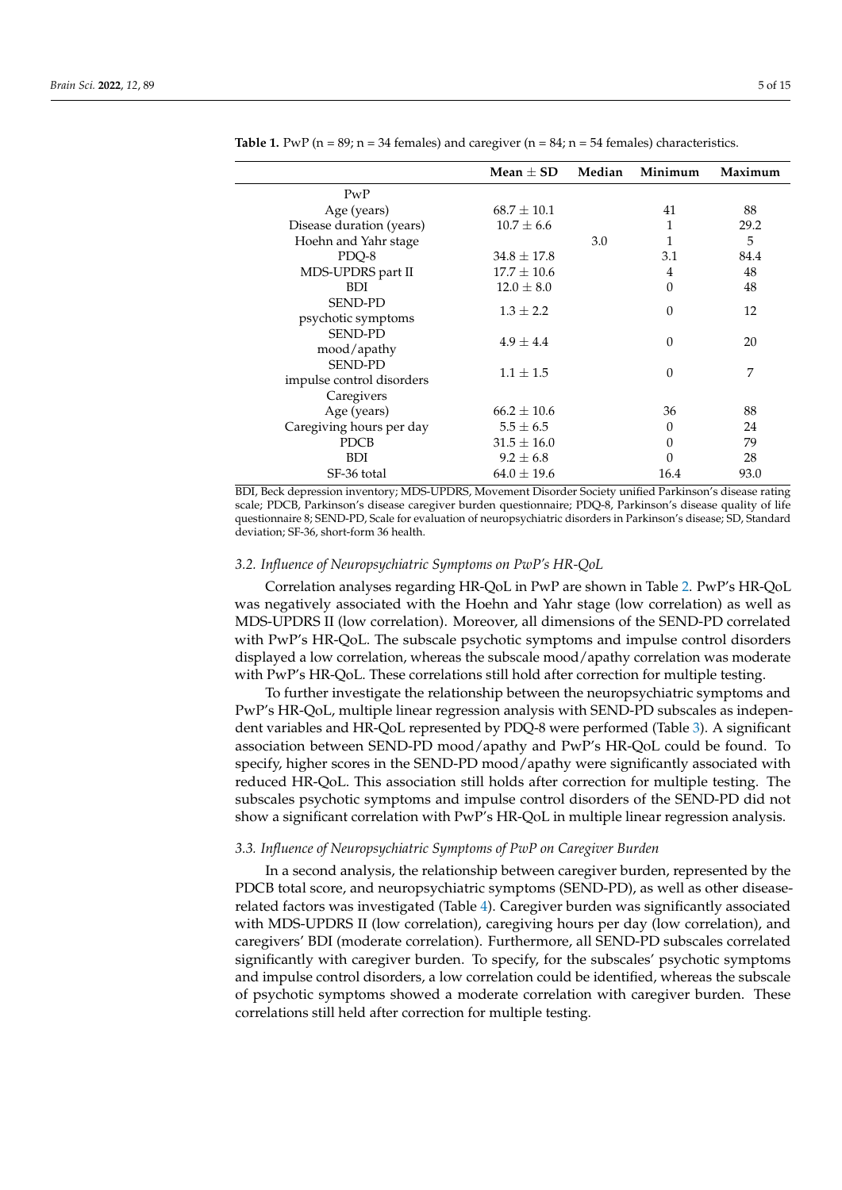|                           | Mean $\pm$ SD $\,$ | Median | Minimum        | Maximum |
|---------------------------|--------------------|--------|----------------|---------|
| PWP                       |                    |        |                |         |
| Age (years)               | $68.7 \pm 10.1$    |        | 41             | 88      |
| Disease duration (years)  | $10.7 \pm 6.6$     |        | 1              | 29.2    |
| Hoehn and Yahr stage      |                    | 3.0    |                | 5       |
| PDQ-8                     | $34.8 \pm 17.8$    |        | 3.1            | 84.4    |
| MDS-UPDRS part II         | $17.7 \pm 10.6$    |        | $\overline{4}$ | 48      |
| BDI.                      | $12.0 \pm 8.0$     |        | $\theta$       | 48      |
| <b>SEND-PD</b>            | $1.3 \pm 2.2$      |        | $\Omega$       | 12      |
| psychotic symptoms        |                    |        |                |         |
| <b>SEND-PD</b>            | $4.9 \pm 4.4$      |        | $\Omega$       | 20      |
| mood/apathy               |                    |        |                |         |
| <b>SEND-PD</b>            | $1.1 \pm 1.5$      |        |                | 7       |
| impulse control disorders |                    |        | $\theta$       |         |
| Caregivers                |                    |        |                |         |
| Age (years)               | $66.2 \pm 10.6$    |        | 36             | 88      |
| Caregiving hours per day  | $5.5 \pm 6.5$      |        | 0              | 24      |
| <b>PDCB</b>               | $31.5 \pm 16.0$    |        | 0              | 79      |
| <b>BDI</b>                | $9.2 \pm 6.8$      |        | 0              | 28      |
| SF-36 total               | $64.0 \pm 19.6$    |        | 16.4           | 93.0    |

**Table 1.** PwP ( $n = 89$ ;  $n = 34$  females) and caregiver ( $n = 84$ ;  $n = 54$  females) characteristics.

BDI, Beck depression inventory; MDS-UPDRS, Movement Disorder Society unified Parkinson's disease rating scale; PDCB, Parkinson's disease caregiver burden questionnaire; PDQ-8, Parkinson's disease quality of life questionnaire 8; SEND-PD, Scale for evaluation of neuropsychiatric disorders in Parkinson's disease; SD, Standard deviation; SF-36, short-form 36 health.

# *3.2. Influence of Neuropsychiatric Symptoms on PwP's HR-QoL*

Correlation analyses regarding HR-QoL in PwP are shown in Table 2. PwP's HR-QoL was negatively associated with the Hoehn and Yahr stage (low correlation) as well as MDS-UPDRS II (low correlation). Moreover, all dimensions of the SEND-PD correlated with PwP's HR-QoL. The subscale psychotic symptoms and impulse control disorders displayed a low correlation, whereas the subscale mood/apathy correlation was moderate with PwP's HR-QoL. These correlations still hold after correction for multiple testing.

To further investigate the relationship between the neuropsychiatric symptoms and PwP's HR-QoL, multiple linear regression analysis with SEND-PD subscales as independent variables and HR-QoL represented by PDQ-8 were performed (Table 3). A significant association between SEND-PD mood/apathy and PwP's HR-QoL could be found. To specify, higher scores in the SEND-PD mood/apathy were significantly associated with reduced HR-QoL. This association still holds after correction for multiple testing. The subscales psychotic symptoms and impulse control disorders of the SEND-PD did not show a significant correlation with PwP's HR-QoL in multiple linear regression analysis.

# *3.3. Influence of Neuropsychiatric Symptoms of PwP on Caregiver Burden*

In a second analysis, the relationship between caregiver burden, represented by the PDCB total score, and neuropsychiatric symptoms (SEND-PD), as well as other diseaserelated factors was investigated (Table 4). Caregiver burden was significantly associated with MDS-UPDRS II (low correlation), caregiving hours per day (low correlation), and caregivers' BDI (moderate correlation). Furthermore, all SEND-PD subscales correlated significantly with caregiver burden. To specify, for the subscales' psychotic symptoms and impulse control disorders, a low correlation could be identified, whereas the subscale of psychotic symptoms showed a moderate correlation with caregiver burden. These correlations still held after correction for multiple testing.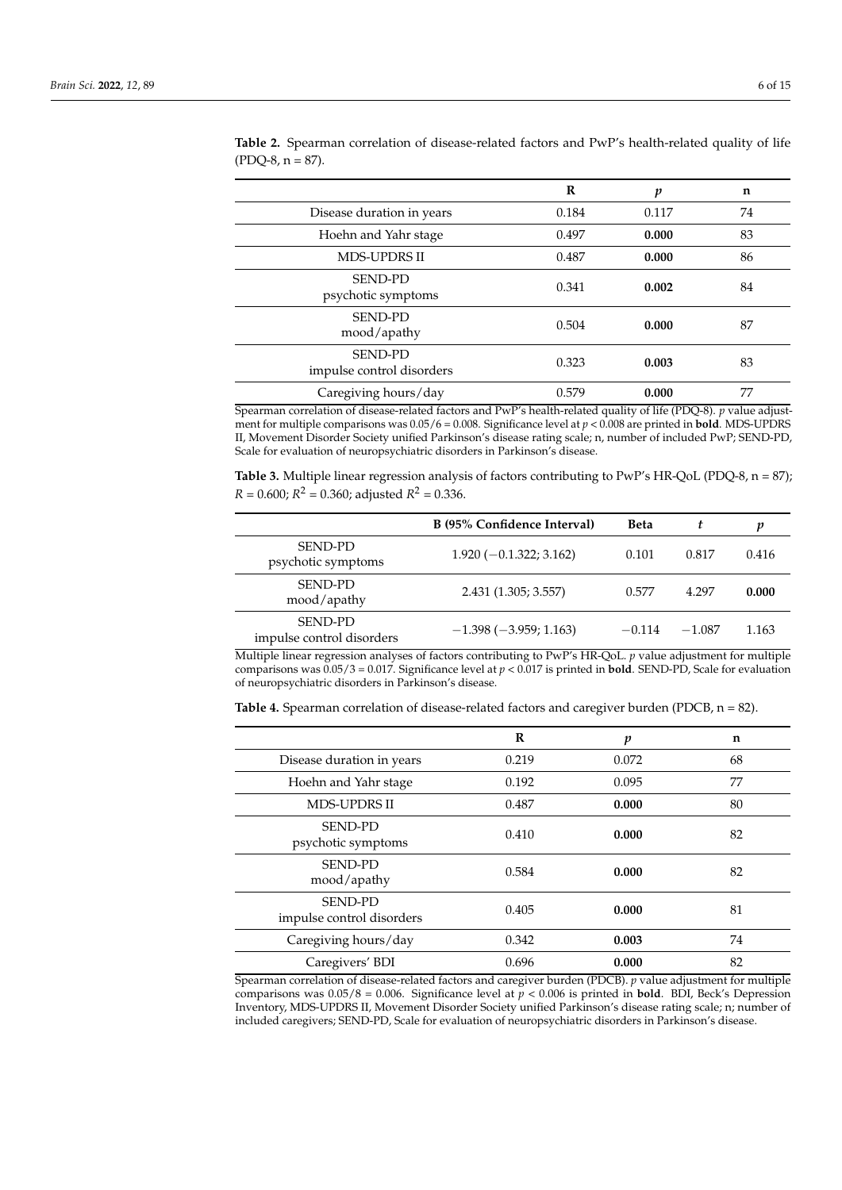|                                             | R     | p     | n  |
|---------------------------------------------|-------|-------|----|
| Disease duration in years                   | 0.184 | 0.117 | 74 |
| Hoehn and Yahr stage                        | 0.497 | 0.000 | 83 |
| <b>MDS-UPDRS II</b>                         | 0.487 | 0.000 | 86 |
| <b>SEND-PD</b><br>psychotic symptoms        | 0.341 | 0.002 | 84 |
| <b>SEND-PD</b><br>mood/apathy               | 0.504 | 0.000 | 87 |
| <b>SEND-PD</b><br>impulse control disorders | 0.323 | 0.003 | 83 |
| Caregiving hours/day                        | 0.579 | 0.000 | 77 |

**Table 2.** Spearman correlation of disease-related factors and PwP's health-related quality of life  $(PDQ-8, n = 87).$ 

Spearman correlation of disease-related factors and PwP's health-related quality of life (PDQ-8). *p* value adjustment for multiple comparisons was 0.05/6 = 0.008. Significance level at *p* < 0.008 are printed in **bold**. MDS-UPDRS II, Movement Disorder Society unified Parkinson's disease rating scale; n, number of included PwP; SEND-PD, Scale for evaluation of neuropsychiatric disorders in Parkinson's disease.

**Table 3.** Multiple linear regression analysis of factors contributing to PwP's HR-QoL (PDQ-8, n = 87);  $R = 0.600; R^2 = 0.360;$  adjusted  $R^2 = 0.336$ .

|                                             | B (95% Confidence Interval) | <b>Beta</b> |          | p     |
|---------------------------------------------|-----------------------------|-------------|----------|-------|
| <b>SEND-PD</b><br>psychotic symptoms        | $1.920(-0.1.322; 3.162)$    | 0.101       | 0.817    | 0.416 |
| <b>SEND-PD</b><br>mood/apathy               | 2.431 (1.305; 3.557)        | 0.577       | 4.297    | 0.000 |
| <b>SEND-PD</b><br>impulse control disorders | $-1.398(-3.959; 1.163)$     | $-0.114$    | $-1.087$ | 1.163 |
|                                             |                             |             |          |       |

Multiple linear regression analyses of factors contributing to PwP's HR-QoL. *p* value adjustment for multiple comparisons was 0.05/3 = 0.017. Significance level at *p* < 0.017 is printed in **bold**. SEND-PD, Scale for evaluation of neuropsychiatric disorders in Parkinson's disease.

**Table 4.** Spearman correlation of disease-related factors and caregiver burden (PDCB, n = 82).

|                                             | $\mathbf R$ | $\boldsymbol{p}$ | n  |
|---------------------------------------------|-------------|------------------|----|
| Disease duration in years                   | 0.219       | 0.072            | 68 |
| Hoehn and Yahr stage                        | 0.192       | 0.095            | 77 |
| <b>MDS-UPDRS II</b>                         | 0.487       | 0.000            | 80 |
| <b>SEND-PD</b><br>psychotic symptoms        | 0.410       | 0.000            | 82 |
| <b>SEND-PD</b><br>mood/apathy               | 0.584       | 0.000            | 82 |
| <b>SEND-PD</b><br>impulse control disorders | 0.405       | 0.000            | 81 |
| Caregiving hours/day                        | 0.342       | 0.003            | 74 |
| Caregivers' BDI                             | 0.696       | 0.000            | 82 |

Spearman correlation of disease-related factors and caregiver burden (PDCB). *p* value adjustment for multiple comparisons was  $0.05/8 = 0.006$ . Significance level at  $p < 0.006$  is printed in **bold**. BDI, Beck's Depression Inventory, MDS-UPDRS II, Movement Disorder Society unified Parkinson's disease rating scale; n; number of included caregivers; SEND-PD, Scale for evaluation of neuropsychiatric disorders in Parkinson's disease.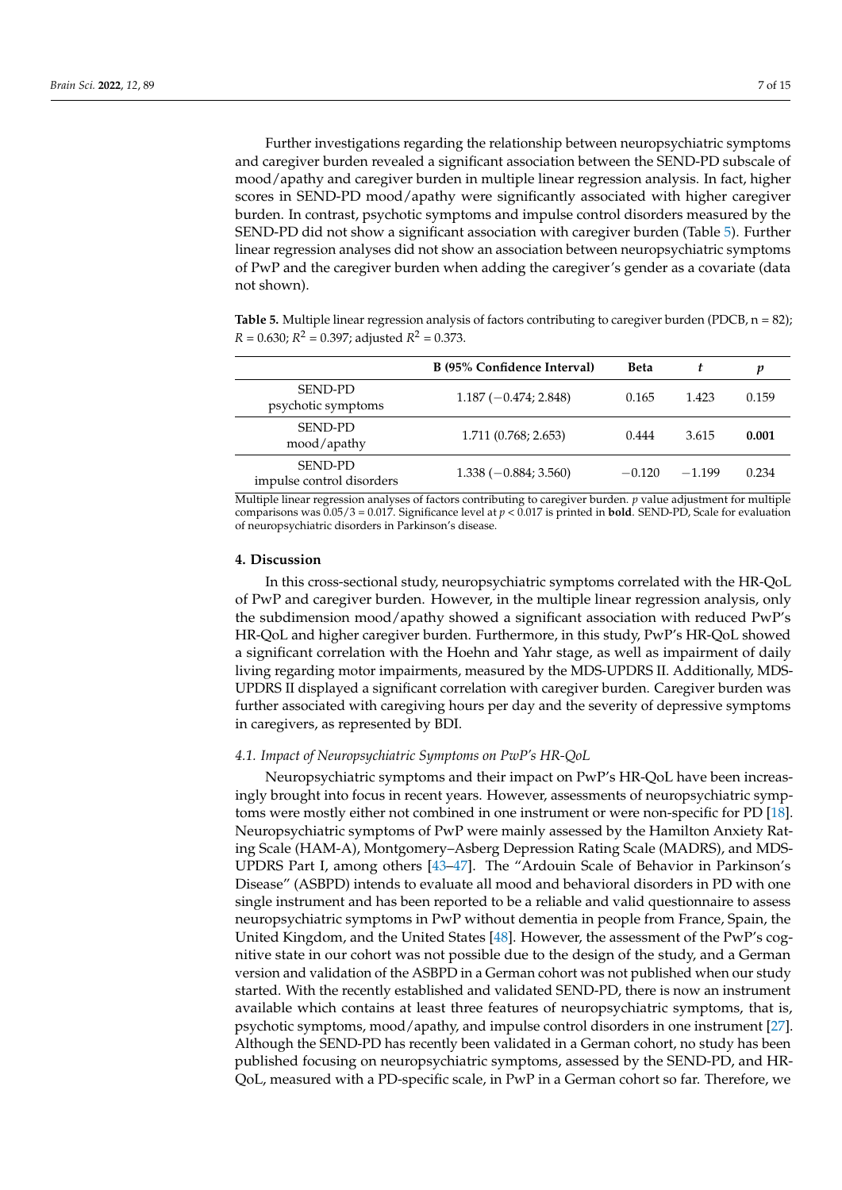Further investigations regarding the relationship between neuropsychiatric symptoms and caregiver burden revealed a significant association between the SEND-PD subscale of mood/apathy and caregiver burden in multiple linear regression analysis. In fact, higher scores in SEND-PD mood/apathy were significantly associated with higher caregiver burden. In contrast, psychotic symptoms and impulse control disorders measured by the SEND-PD did not show a significant association with caregiver burden (Table 5). Further linear regression analyses did not show an association between neuropsychiatric symptoms of PwP and the caregiver burden when adding the caregiver's gender as a covariate (data not shown).

**Table 5.** Multiple linear regression analysis of factors contributing to caregiver burden (PDCB, n = 82);  $R = 0.630; R^2 = 0.397;$  adjusted  $R^2 = 0.373.$ 

|                                             | B (95% Confidence Interval) | <b>Beta</b> | t        | p     |
|---------------------------------------------|-----------------------------|-------------|----------|-------|
| <b>SEND-PD</b><br>psychotic symptoms        | $1.187(-0.474; 2.848)$      | 0.165       | 1.423    | 0.159 |
| SEND-PD<br>mood/apathy                      | 1.711 (0.768; 2.653)        | 0.444       | 3.615    | 0.001 |
| <b>SEND-PD</b><br>impulse control disorders | $1.338(-0.884; 3.560)$      | $-0.120$    | $-1.199$ | 0.234 |

Multiple linear regression analyses of factors contributing to caregiver burden. *p* value adjustment for multiple comparisons was 0.05/3 = 0.017. Significance level at *p* < 0.017 is printed in **bold**. SEND-PD, Scale for evaluation of neuropsychiatric disorders in Parkinson's disease.

# **4. Discussion**

In this cross-sectional study, neuropsychiatric symptoms correlated with the HR-QoL of PwP and caregiver burden. However, in the multiple linear regression analysis, only the subdimension mood/apathy showed a significant association with reduced PwP's HR-QoL and higher caregiver burden. Furthermore, in this study, PwP's HR-QoL showed a significant correlation with the Hoehn and Yahr stage, as well as impairment of daily living regarding motor impairments, measured by the MDS-UPDRS II. Additionally, MDS-UPDRS II displayed a significant correlation with caregiver burden. Caregiver burden was further associated with caregiving hours per day and the severity of depressive symptoms in caregivers, as represented by BDI.

# *4.1. Impact of Neuropsychiatric Symptoms on PwP's HR-QoL*

Neuropsychiatric symptoms and their impact on PwP's HR-QoL have been increasingly brought into focus in recent years. However, assessments of neuropsychiatric symptoms were mostly either not combined in one instrument or were non-specific for PD [18]. Neuropsychiatric symptoms of PwP were mainly assessed by the Hamilton Anxiety Rating Scale (HAM-A), Montgomery–Asberg Depression Rating Scale (MADRS), and MDS-UPDRS Part I, among others [43–47]. The "Ardouin Scale of Behavior in Parkinson's Disease" (ASBPD) intends to evaluate all mood and behavioral disorders in PD with one single instrument and has been reported to be a reliable and valid questionnaire to assess neuropsychiatric symptoms in PwP without dementia in people from France, Spain, the United Kingdom, and the United States [48]. However, the assessment of the PwP's cognitive state in our cohort was not possible due to the design of the study, and a German version and validation of the ASBPD in a German cohort was not published when our study started. With the recently established and validated SEND-PD, there is now an instrument available which contains at least three features of neuropsychiatric symptoms, that is, psychotic symptoms, mood/apathy, and impulse control disorders in one instrument [27]. Although the SEND-PD has recently been validated in a German cohort, no study has been published focusing on neuropsychiatric symptoms, assessed by the SEND-PD, and HR-QoL, measured with a PD-specific scale, in PwP in a German cohort so far. Therefore, we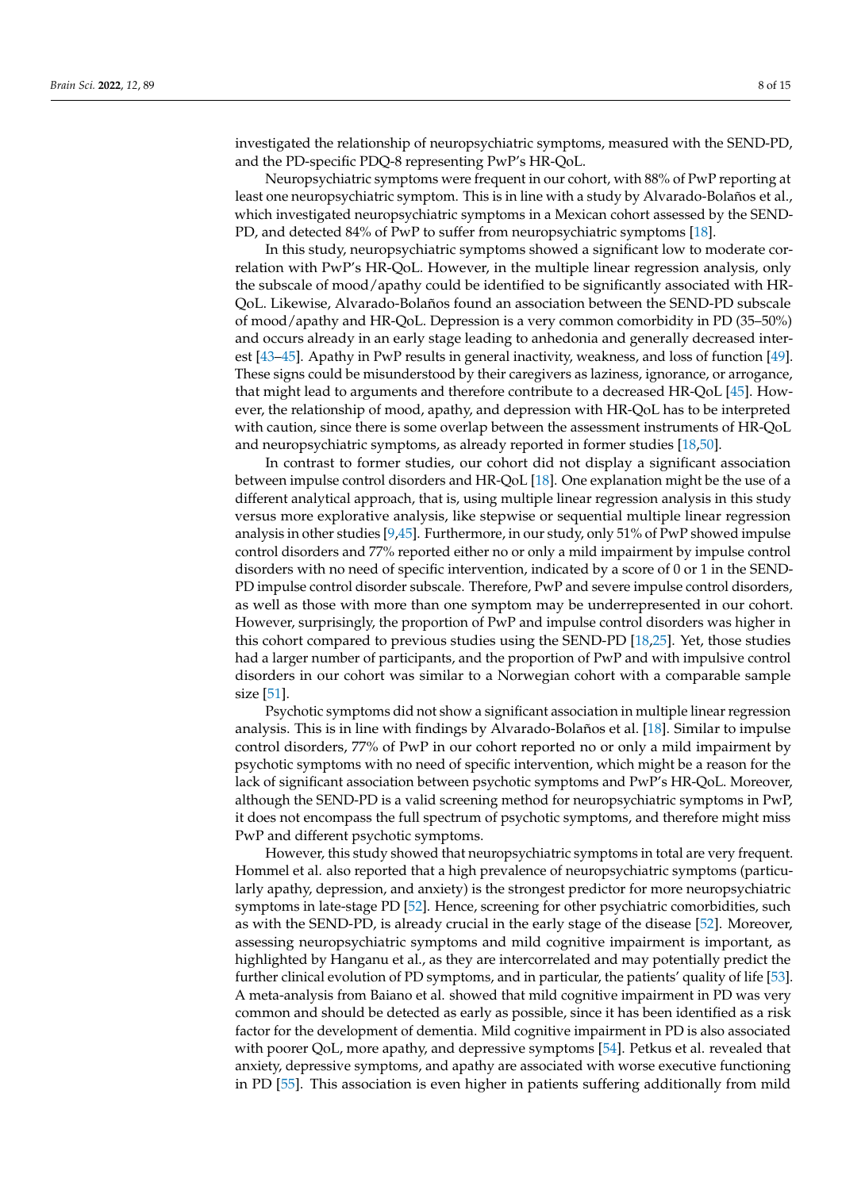investigated the relationship of neuropsychiatric symptoms, measured with the SEND-PD, and the PD-specific PDQ-8 representing PwP's HR-QoL.

Neuropsychiatric symptoms were frequent in our cohort, with 88% of PwP reporting at least one neuropsychiatric symptom. This is in line with a study by Alvarado-Bolaños et al., which investigated neuropsychiatric symptoms in a Mexican cohort assessed by the SEND-PD, and detected 84% of PwP to suffer from neuropsychiatric symptoms [18].

In this study, neuropsychiatric symptoms showed a significant low to moderate correlation with PwP's HR-QoL. However, in the multiple linear regression analysis, only the subscale of mood/apathy could be identified to be significantly associated with HR-QoL. Likewise, Alvarado-Bolaños found an association between the SEND-PD subscale of mood/apathy and HR-QoL. Depression is a very common comorbidity in PD (35–50%) and occurs already in an early stage leading to anhedonia and generally decreased interest [43–45]. Apathy in PwP results in general inactivity, weakness, and loss of function [49]. These signs could be misunderstood by their caregivers as laziness, ignorance, or arrogance, that might lead to arguments and therefore contribute to a decreased HR-QoL [45]. However, the relationship of mood, apathy, and depression with HR-QoL has to be interpreted with caution, since there is some overlap between the assessment instruments of HR-QoL and neuropsychiatric symptoms, as already reported in former studies [18,50].

In contrast to former studies, our cohort did not display a significant association between impulse control disorders and HR-QoL [18]. One explanation might be the use of a different analytical approach, that is, using multiple linear regression analysis in this study versus more explorative analysis, like stepwise or sequential multiple linear regression analysis in other studies [9,45]. Furthermore, in our study, only 51% of PwP showed impulse control disorders and 77% reported either no or only a mild impairment by impulse control disorders with no need of specific intervention, indicated by a score of 0 or 1 in the SEND-PD impulse control disorder subscale. Therefore, PwP and severe impulse control disorders, as well as those with more than one symptom may be underrepresented in our cohort. However, surprisingly, the proportion of PwP and impulse control disorders was higher in this cohort compared to previous studies using the SEND-PD [18,25]. Yet, those studies had a larger number of participants, and the proportion of PwP and with impulsive control disorders in our cohort was similar to a Norwegian cohort with a comparable sample size [51].

Psychotic symptoms did not show a significant association in multiple linear regression analysis. This is in line with findings by Alvarado-Bolaños et al. [18]. Similar to impulse control disorders, 77% of PwP in our cohort reported no or only a mild impairment by psychotic symptoms with no need of specific intervention, which might be a reason for the lack of significant association between psychotic symptoms and PwP's HR-QoL. Moreover, although the SEND-PD is a valid screening method for neuropsychiatric symptoms in PwP, it does not encompass the full spectrum of psychotic symptoms, and therefore might miss PwP and different psychotic symptoms.

However, this study showed that neuropsychiatric symptoms in total are very frequent. Hommel et al. also reported that a high prevalence of neuropsychiatric symptoms (particularly apathy, depression, and anxiety) is the strongest predictor for more neuropsychiatric symptoms in late-stage PD [52]. Hence, screening for other psychiatric comorbidities, such as with the SEND-PD, is already crucial in the early stage of the disease [52]. Moreover, assessing neuropsychiatric symptoms and mild cognitive impairment is important, as highlighted by Hanganu et al., as they are intercorrelated and may potentially predict the further clinical evolution of PD symptoms, and in particular, the patients' quality of life [53]. A meta-analysis from Baiano et al. showed that mild cognitive impairment in PD was very common and should be detected as early as possible, since it has been identified as a risk factor for the development of dementia. Mild cognitive impairment in PD is also associated with poorer QoL, more apathy, and depressive symptoms [54]. Petkus et al. revealed that anxiety, depressive symptoms, and apathy are associated with worse executive functioning in PD [55]. This association is even higher in patients suffering additionally from mild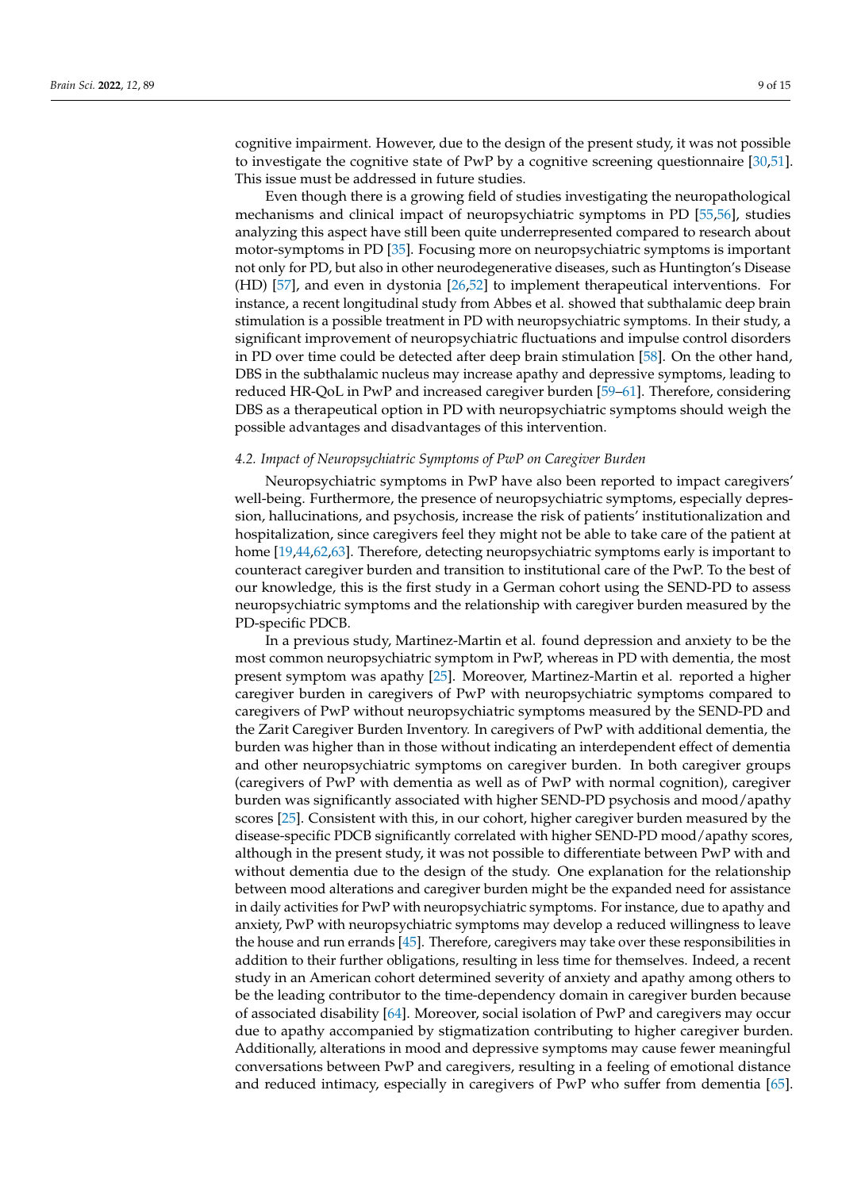cognitive impairment. However, due to the design of the present study, it was not possible to investigate the cognitive state of PwP by a cognitive screening questionnaire [30,51]. This issue must be addressed in future studies.

Even though there is a growing field of studies investigating the neuropathological mechanisms and clinical impact of neuropsychiatric symptoms in PD [55,56], studies analyzing this aspect have still been quite underrepresented compared to research about motor-symptoms in PD [35]. Focusing more on neuropsychiatric symptoms is important not only for PD, but also in other neurodegenerative diseases, such as Huntington's Disease (HD) [57], and even in dystonia [26,52] to implement therapeutical interventions. For instance, a recent longitudinal study from Abbes et al. showed that subthalamic deep brain stimulation is a possible treatment in PD with neuropsychiatric symptoms. In their study, a significant improvement of neuropsychiatric fluctuations and impulse control disorders in PD over time could be detected after deep brain stimulation [58]. On the other hand, DBS in the subthalamic nucleus may increase apathy and depressive symptoms, leading to reduced HR-QoL in PwP and increased caregiver burden [59–61]. Therefore, considering DBS as a therapeutical option in PD with neuropsychiatric symptoms should weigh the possible advantages and disadvantages of this intervention.

# *4.2. Impact of Neuropsychiatric Symptoms of PwP on Caregiver Burden*

Neuropsychiatric symptoms in PwP have also been reported to impact caregivers' well-being. Furthermore, the presence of neuropsychiatric symptoms, especially depression, hallucinations, and psychosis, increase the risk of patients' institutionalization and hospitalization, since caregivers feel they might not be able to take care of the patient at home [19,44,62,63]. Therefore, detecting neuropsychiatric symptoms early is important to counteract caregiver burden and transition to institutional care of the PwP. To the best of our knowledge, this is the first study in a German cohort using the SEND-PD to assess neuropsychiatric symptoms and the relationship with caregiver burden measured by the PD-specific PDCB.

In a previous study, Martinez-Martin et al. found depression and anxiety to be the most common neuropsychiatric symptom in PwP, whereas in PD with dementia, the most present symptom was apathy [25]. Moreover, Martinez-Martin et al. reported a higher caregiver burden in caregivers of PwP with neuropsychiatric symptoms compared to caregivers of PwP without neuropsychiatric symptoms measured by the SEND-PD and the Zarit Caregiver Burden Inventory. In caregivers of PwP with additional dementia, the burden was higher than in those without indicating an interdependent effect of dementia and other neuropsychiatric symptoms on caregiver burden. In both caregiver groups (caregivers of PwP with dementia as well as of PwP with normal cognition), caregiver burden was significantly associated with higher SEND-PD psychosis and mood/apathy scores [25]. Consistent with this, in our cohort, higher caregiver burden measured by the disease-specific PDCB significantly correlated with higher SEND-PD mood/apathy scores, although in the present study, it was not possible to differentiate between PwP with and without dementia due to the design of the study. One explanation for the relationship between mood alterations and caregiver burden might be the expanded need for assistance in daily activities for PwP with neuropsychiatric symptoms. For instance, due to apathy and anxiety, PwP with neuropsychiatric symptoms may develop a reduced willingness to leave the house and run errands [45]. Therefore, caregivers may take over these responsibilities in addition to their further obligations, resulting in less time for themselves. Indeed, a recent study in an American cohort determined severity of anxiety and apathy among others to be the leading contributor to the time-dependency domain in caregiver burden because of associated disability [64]. Moreover, social isolation of PwP and caregivers may occur due to apathy accompanied by stigmatization contributing to higher caregiver burden. Additionally, alterations in mood and depressive symptoms may cause fewer meaningful conversations between PwP and caregivers, resulting in a feeling of emotional distance and reduced intimacy, especially in caregivers of PwP who suffer from dementia [65].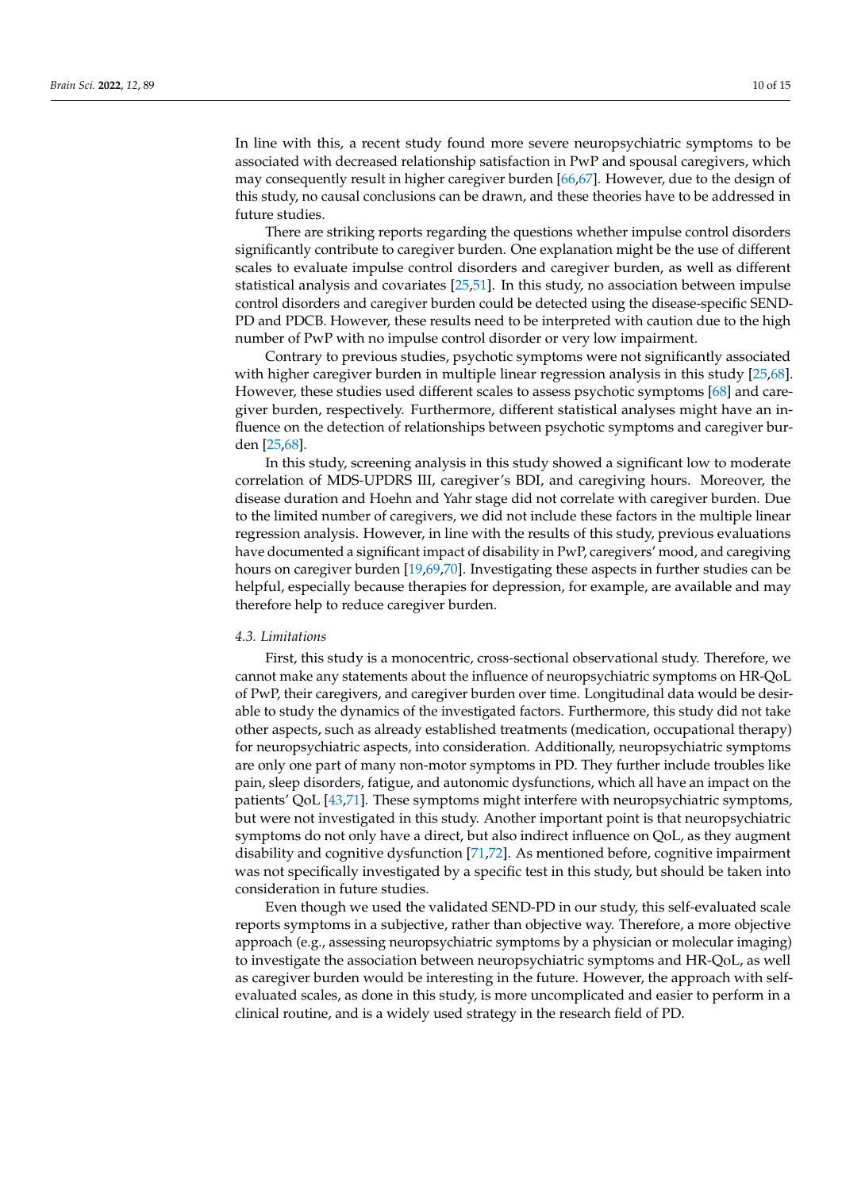In line with this, a recent study found more severe neuropsychiatric symptoms to be associated with decreased relationship satisfaction in PwP and spousal caregivers, which may consequently result in higher caregiver burden [66,67]. However, due to the design of this study, no causal conclusions can be drawn, and these theories have to be addressed in future studies.

There are striking reports regarding the questions whether impulse control disorders significantly contribute to caregiver burden. One explanation might be the use of different scales to evaluate impulse control disorders and caregiver burden, as well as different statistical analysis and covariates [25,51]. In this study, no association between impulse control disorders and caregiver burden could be detected using the disease-specific SEND-PD and PDCB. However, these results need to be interpreted with caution due to the high number of PwP with no impulse control disorder or very low impairment.

Contrary to previous studies, psychotic symptoms were not significantly associated with higher caregiver burden in multiple linear regression analysis in this study [25,68]. However, these studies used different scales to assess psychotic symptoms [68] and caregiver burden, respectively. Furthermore, different statistical analyses might have an influence on the detection of relationships between psychotic symptoms and caregiver burden [25,68].

In this study, screening analysis in this study showed a significant low to moderate correlation of MDS-UPDRS III, caregiver's BDI, and caregiving hours. Moreover, the disease duration and Hoehn and Yahr stage did not correlate with caregiver burden. Due to the limited number of caregivers, we did not include these factors in the multiple linear regression analysis. However, in line with the results of this study, previous evaluations have documented a significant impact of disability in PwP, caregivers' mood, and caregiving hours on caregiver burden [19,69,70]. Investigating these aspects in further studies can be helpful, especially because therapies for depression, for example, are available and may therefore help to reduce caregiver burden.

#### *4.3. Limitations*

First, this study is a monocentric, cross-sectional observational study. Therefore, we cannot make any statements about the influence of neuropsychiatric symptoms on HR-QoL of PwP, their caregivers, and caregiver burden over time. Longitudinal data would be desirable to study the dynamics of the investigated factors. Furthermore, this study did not take other aspects, such as already established treatments (medication, occupational therapy) for neuropsychiatric aspects, into consideration. Additionally, neuropsychiatric symptoms are only one part of many non-motor symptoms in PD. They further include troubles like pain, sleep disorders, fatigue, and autonomic dysfunctions, which all have an impact on the patients' QoL [43,71]. These symptoms might interfere with neuropsychiatric symptoms, but were not investigated in this study. Another important point is that neuropsychiatric symptoms do not only have a direct, but also indirect influence on QoL, as they augment disability and cognitive dysfunction [71,72]. As mentioned before, cognitive impairment was not specifically investigated by a specific test in this study, but should be taken into consideration in future studies.

Even though we used the validated SEND-PD in our study, this self-evaluated scale reports symptoms in a subjective, rather than objective way. Therefore, a more objective approach (e.g., assessing neuropsychiatric symptoms by a physician or molecular imaging) to investigate the association between neuropsychiatric symptoms and HR-QoL, as well as caregiver burden would be interesting in the future. However, the approach with selfevaluated scales, as done in this study, is more uncomplicated and easier to perform in a clinical routine, and is a widely used strategy in the research field of PD.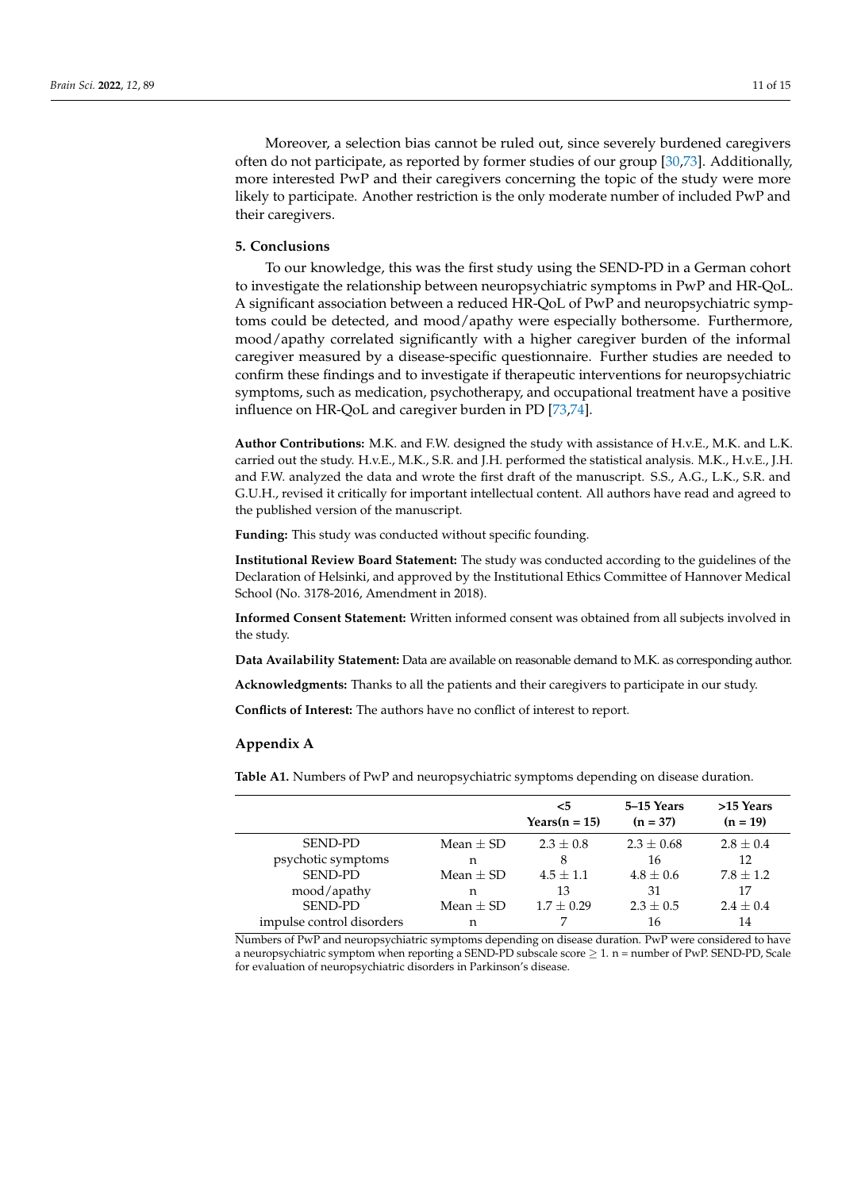Moreover, a selection bias cannot be ruled out, since severely burdened caregivers often do not participate, as reported by former studies of our group [30,73]. Additionally, more interested PwP and their caregivers concerning the topic of the study were more likely to participate. Another restriction is the only moderate number of included PwP and their caregivers.

# **5. Conclusions**

To our knowledge, this was the first study using the SEND-PD in a German cohort to investigate the relationship between neuropsychiatric symptoms in PwP and HR-QoL. A significant association between a reduced HR-QoL of PwP and neuropsychiatric symptoms could be detected, and mood/apathy were especially bothersome. Furthermore, mood/apathy correlated significantly with a higher caregiver burden of the informal caregiver measured by a disease-specific questionnaire. Further studies are needed to confirm these findings and to investigate if therapeutic interventions for neuropsychiatric symptoms, such as medication, psychotherapy, and occupational treatment have a positive influence on HR-QoL and caregiver burden in PD [73,74].

**Author Contributions:** M.K. and F.W. designed the study with assistance of H.v.E., M.K. and L.K. carried out the study. H.v.E., M.K., S.R. and J.H. performed the statistical analysis. M.K., H.v.E., J.H. and F.W. analyzed the data and wrote the first draft of the manuscript. S.S., A.G., L.K., S.R. and G.U.H., revised it critically for important intellectual content. All authors have read and agreed to the published version of the manuscript.

**Funding:** This study was conducted without specific founding.

**Institutional Review Board Statement:** The study was conducted according to the guidelines of the Declaration of Helsinki, and approved by the Institutional Ethics Committee of Hannover Medical School (No. 3178-2016, Amendment in 2018).

**Informed Consent Statement:** Written informed consent was obtained from all subjects involved in the study.

**Data Availability Statement:** Data are available on reasonable demand to M.K. as corresponding author.

**Acknowledgments:** Thanks to all the patients and their caregivers to participate in our study.

**Conflicts of Interest:** The authors have no conflict of interest to report.

# **Appendix A**

**Table A1.** Numbers of PwP and neuropsychiatric symptoms depending on disease duration.

|                           |               | $<$ 5<br>Years $(n = 15)$ | 5–15 Years<br>$(n = 37)$ | >15 Years<br>$(n = 19)$ |
|---------------------------|---------------|---------------------------|--------------------------|-------------------------|
| <b>SEND-PD</b>            | Mean $\pm$ SD | $2.3 \pm 0.8$             | $2.3 \pm 0.68$           | $2.8 \pm 0.4$           |
| psychotic symptoms        | n             | 8                         | 16                       | 12                      |
| <b>SEND-PD</b>            | Mean $+$ SD   | $4.5 + 1.1$               | $4.8 + 0.6$              | $7.8 \pm 1.2$           |
| mood/apathy               | n             | 13                        | 31                       | 17                      |
| <b>SEND-PD</b>            | Mean $\pm$ SD | $1.7 + 0.29$              | $2.3 \pm 0.5$            | $2.4 \pm 0.4$           |
| impulse control disorders | n             |                           | 16                       | 14                      |

Numbers of PwP and neuropsychiatric symptoms depending on disease duration. PwP were considered to have a neuropsychiatric symptom when reporting a SEND-PD subscale score  $\geq 1$ . n = number of PwP. SEND-PD, Scale for evaluation of neuropsychiatric disorders in Parkinson's disease.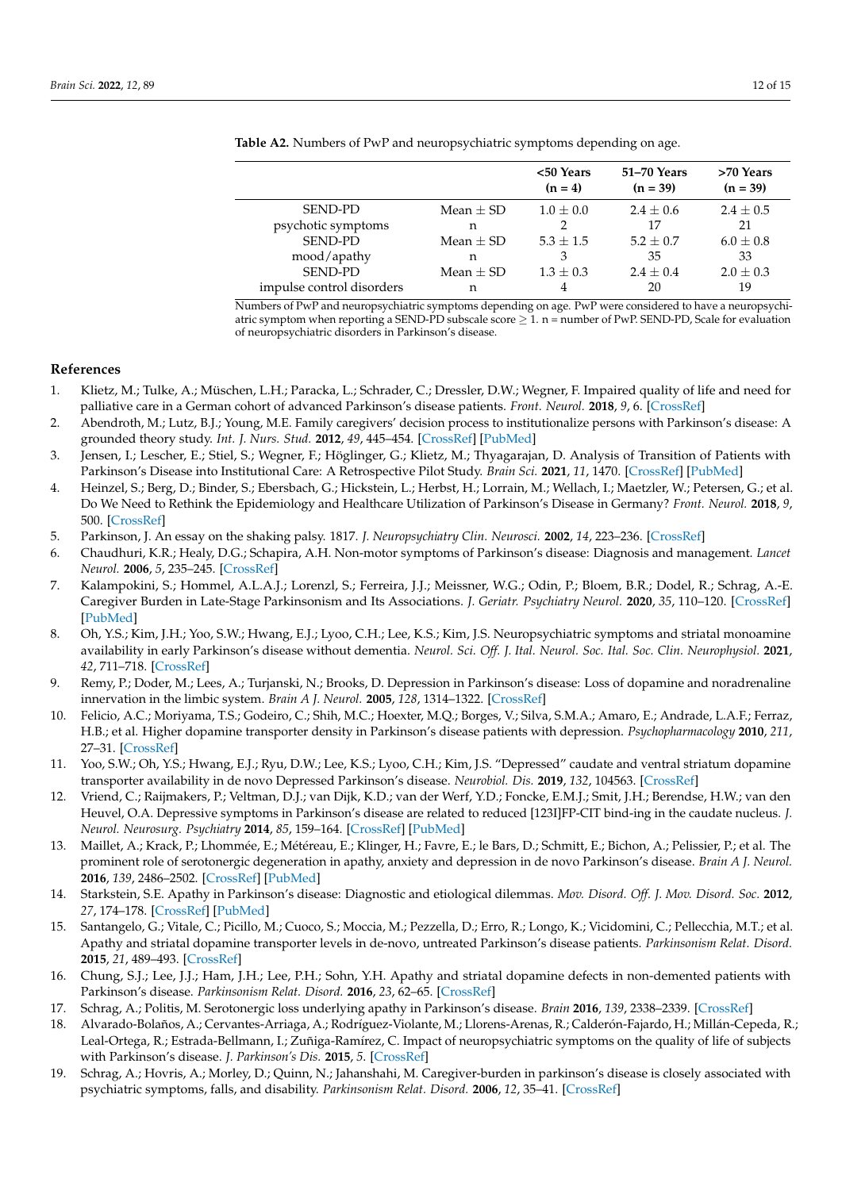|                           |               | <50 Years<br>$(n = 4)$ | 51-70 Years<br>$(n = 39)$ | >70 Years<br>$(n = 39)$ |
|---------------------------|---------------|------------------------|---------------------------|-------------------------|
| <b>SEND-PD</b>            | Mean $\pm$ SD | $1.0 \pm 0.0$          | $2.4 \pm 0.6$             | $2.4 \pm 0.5$           |
| psychotic symptoms        | n             |                        | 17                        | 21                      |
| <b>SEND-PD</b>            | Mean $\pm$ SD | $5.3 \pm 1.5$          | $5.2 + 0.7$               | $6.0 \pm 0.8$           |
| mood/apathy               | n             | 3                      | 35                        | 33                      |
| <b>SEND-PD</b>            | Mean $\pm$ SD | $1.3 \pm 0.3$          | $2.4 \pm 0.4$             | $2.0 \pm 0.3$           |
| impulse control disorders | n             | 4                      | 20                        | 19                      |

**Table A2.** Numbers of PwP and neuropsychiatric symptoms depending on age.

Numbers of PwP and neuropsychiatric symptoms depending on age. PwP were considered to have a neuropsychiatric symptom when reporting a SEND-PD subscale score  $\geq 1$ . n = number of PwP. SEND-PD, Scale for evaluation of neuropsychiatric disorders in Parkinson's disease.

# **References**

- 1. Klietz, M.; Tulke, A.; Müschen, L.H.; Paracka, L.; Schrader, C.; Dressler, D.W.; Wegner, F. Impaired quality of life and need for palliative care in a German cohort of advanced Parkinson's disease patients. *Front. Neurol.* **2018**, *9*, 6. [CrossRef]
- 2. Abendroth, M.; Lutz, B.J.; Young, M.E. Family caregivers' decision process to institutionalize persons with Parkinson's disease: A grounded theory study. *Int. J. Nurs. Stud.* **2012**, *49*, 445–454. [CrossRef] [PubMed]
- 3. Jensen, I.; Lescher, E.; Stiel, S.; Wegner, F.; Höglinger, G.; Klietz, M.; Thyagarajan, D. Analysis of Transition of Patients with Parkinson's Disease into Institutional Care: A Retrospective Pilot Study. *Brain Sci.* **2021**, *11*, 1470. [CrossRef] [PubMed]
- 4. Heinzel, S.; Berg, D.; Binder, S.; Ebersbach, G.; Hickstein, L.; Herbst, H.; Lorrain, M.; Wellach, I.; Maetzler, W.; Petersen, G.; et al. Do We Need to Rethink the Epidemiology and Healthcare Utilization of Parkinson's Disease in Germany? *Front. Neurol.* **2018**, *9*, 500. [CrossRef]
- 5. Parkinson, J. An essay on the shaking palsy. 1817. *J. Neuropsychiatry Clin. Neurosci.* **2002**, *14*, 223–236. [CrossRef]
- 6. Chaudhuri, K.R.; Healy, D.G.; Schapira, A.H. Non-motor symptoms of Parkinson's disease: Diagnosis and management. *Lancet Neurol.* **2006**, *5*, 235–245. [CrossRef]
- 7. Kalampokini, S.; Hommel, A.L.A.J.; Lorenzl, S.; Ferreira, J.J.; Meissner, W.G.; Odin, P.; Bloem, B.R.; Dodel, R.; Schrag, A.-E. Caregiver Burden in Late-Stage Parkinsonism and Its Associations. *J. Geriatr. Psychiatry Neurol.* **2020**, *35*, 110–120. [CrossRef] [PubMed]
- 8. Oh, Y.S.; Kim, J.H.; Yoo, S.W.; Hwang, E.J.; Lyoo, C.H.; Lee, K.S.; Kim, J.S. Neuropsychiatric symptoms and striatal monoamine availability in early Parkinson's disease without dementia. *Neurol. Sci. Off. J. Ital. Neurol. Soc. Ital. Soc. Clin. Neurophysiol.* **2021**, *42*, 711–718. [CrossRef]
- 9. Remy, P.; Doder, M.; Lees, A.; Turjanski, N.; Brooks, D. Depression in Parkinson's disease: Loss of dopamine and noradrenaline innervation in the limbic system. *Brain A J. Neurol.* **2005**, *128*, 1314–1322. [CrossRef]
- 10. Felicio, A.C.; Moriyama, T.S.; Godeiro, C.; Shih, M.C.; Hoexter, M.Q.; Borges, V.; Silva, S.M.A.; Amaro, E.; Andrade, L.A.F.; Ferraz, H.B.; et al. Higher dopamine transporter density in Parkinson's disease patients with depression. *Psychopharmacology* **2010**, *211*, 27–31. [CrossRef]
- 11. Yoo, S.W.; Oh, Y.S.; Hwang, E.J.; Ryu, D.W.; Lee, K.S.; Lyoo, C.H.; Kim, J.S. "Depressed" caudate and ventral striatum dopamine transporter availability in de novo Depressed Parkinson's disease. *Neurobiol. Dis.* **2019**, *132*, 104563. [CrossRef]
- 12. Vriend, C.; Raijmakers, P.; Veltman, D.J.; van Dijk, K.D.; van der Werf, Y.D.; Foncke, E.M.J.; Smit, J.H.; Berendse, H.W.; van den Heuvel, O.A. Depressive symptoms in Parkinson's disease are related to reduced [123I]FP-CIT bind-ing in the caudate nucleus. *J. Neurol. Neurosurg. Psychiatry* **2014**, *85*, 159–164. [CrossRef] [PubMed]
- 13. Maillet, A.; Krack, P.; Lhommée, E.; Météreau, E.; Klinger, H.; Favre, E.; le Bars, D.; Schmitt, E.; Bichon, A.; Pelissier, P.; et al. The prominent role of serotonergic degeneration in apathy, anxiety and depression in de novo Parkinson's disease. *Brain A J. Neurol.* **2016**, *139*, 2486–2502. [CrossRef] [PubMed]
- 14. Starkstein, S.E. Apathy in Parkinson's disease: Diagnostic and etiological dilemmas. *Mov. Disord. Off. J. Mov. Disord. Soc.* **2012**, *27*, 174–178. [CrossRef] [PubMed]
- 15. Santangelo, G.; Vitale, C.; Picillo, M.; Cuoco, S.; Moccia, M.; Pezzella, D.; Erro, R.; Longo, K.; Vicidomini, C.; Pellecchia, M.T.; et al. Apathy and striatal dopamine transporter levels in de-novo, untreated Parkinson's disease patients. *Parkinsonism Relat. Disord.* **2015**, *21*, 489–493. [CrossRef]
- 16. Chung, S.J.; Lee, J.J.; Ham, J.H.; Lee, P.H.; Sohn, Y.H. Apathy and striatal dopamine defects in non-demented patients with Parkinson's disease. *Parkinsonism Relat. Disord.* **2016**, *23*, 62–65. [CrossRef]
- 17. Schrag, A.; Politis, M. Serotonergic loss underlying apathy in Parkinson's disease. *Brain* **2016**, *139*, 2338–2339. [CrossRef]
- 18. Alvarado-Bolaños, A.; Cervantes-Arriaga, A.; Rodríguez-Violante, M.; Llorens-Arenas, R.; Calderón-Fajardo, H.; Millán-Cepeda, R.; Leal-Ortega, R.; Estrada-Bellmann, I.; Zuñiga-Ramírez, C. Impact of neuropsychiatric symptoms on the quality of life of subjects with Parkinson's disease. *J. Parkinson's Dis.* **2015**, *5*. [CrossRef]
- 19. Schrag, A.; Hovris, A.; Morley, D.; Quinn, N.; Jahanshahi, M. Caregiver-burden in parkinson's disease is closely associated with psychiatric symptoms, falls, and disability. *Parkinsonism Relat. Disord.* **2006**, *12*, 35–41. [CrossRef]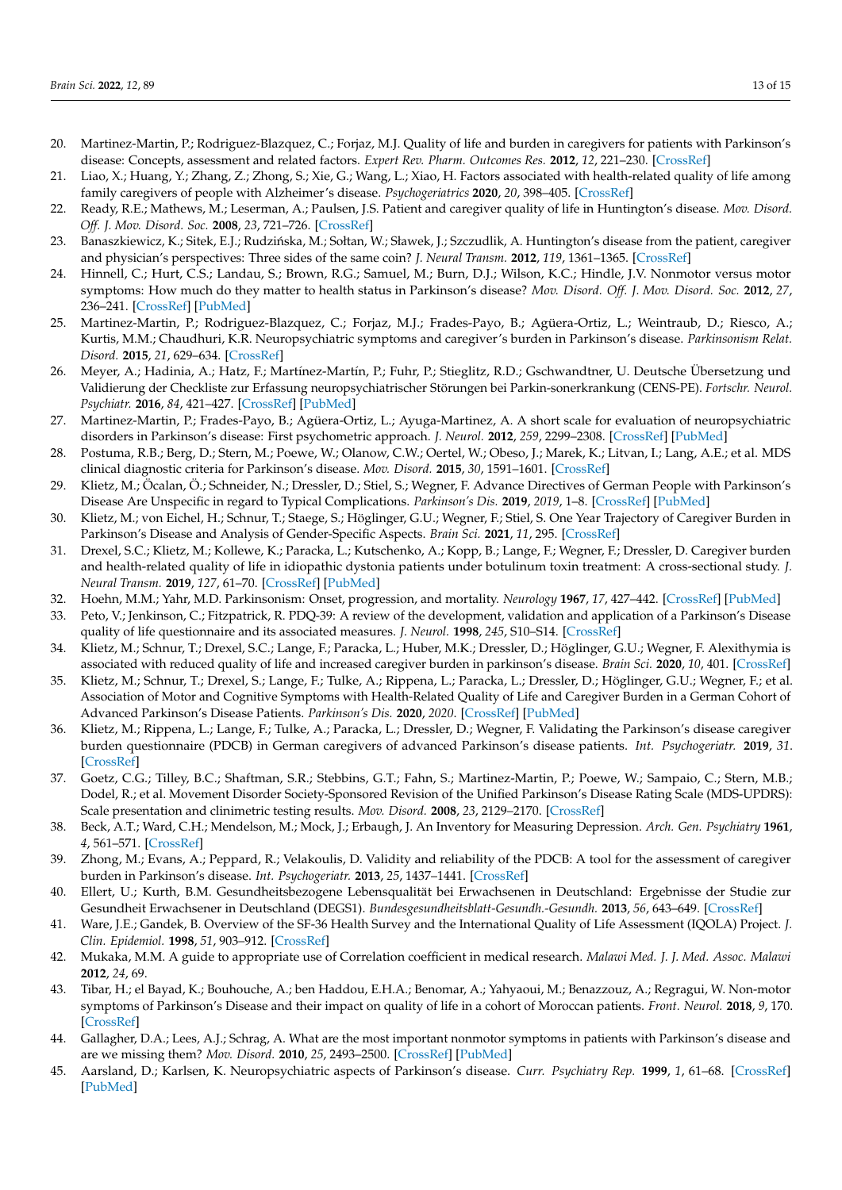- 20. Martinez-Martin, P.; Rodriguez-Blazquez, C.; Forjaz, M.J. Quality of life and burden in caregivers for patients with Parkinson's disease: Concepts, assessment and related factors. *Expert Rev. Pharm. Outcomes Res.* **2012**, *12*, 221–230. [CrossRef]
- 21. Liao, X.; Huang, Y.; Zhang, Z.; Zhong, S.; Xie, G.; Wang, L.; Xiao, H. Factors associated with health-related quality of life among family caregivers of people with Alzheimer's disease. *Psychogeriatrics* **2020**, *20*, 398–405. [CrossRef]
- 22. Ready, R.E.; Mathews, M.; Leserman, A.; Paulsen, J.S. Patient and caregiver quality of life in Huntington's disease. *Mov. Disord. Off. J. Mov. Disord. Soc.* **2008**, *23*, 721–726. [CrossRef]
- 23. Banaszkiewicz, K.; Sitek, E.J.; Rudzińska, M.; Sołtan, W.; Sławek, J.; Szczudlik, A. Huntington's disease from the patient, caregiver and physician's perspectives: Three sides of the same coin? *J. Neural Transm.* **2012**, *119*, 1361–1365. [CrossRef]
- 24. Hinnell, C.; Hurt, C.S.; Landau, S.; Brown, R.G.; Samuel, M.; Burn, D.J.; Wilson, K.C.; Hindle, J.V. Nonmotor versus motor symptoms: How much do they matter to health status in Parkinson's disease? *Mov. Disord. Off. J. Mov. Disord. Soc.* **2012**, *27*, 236–241. [CrossRef] [PubMed]
- 25. Martinez-Martin, P.; Rodriguez-Blazquez, C.; Forjaz, M.J.; Frades-Payo, B.; Agüera-Ortiz, L.; Weintraub, D.; Riesco, A.; Kurtis, M.M.; Chaudhuri, K.R. Neuropsychiatric symptoms and caregiver's burden in Parkinson's disease. *Parkinsonism Relat. Disord.* **2015**, *21*, 629–634. [CrossRef]
- 26. Meyer, A.; Hadinia, A.; Hatz, F.; Martínez-Martín, P.; Fuhr, P.; Stieglitz, R.D.; Gschwandtner, U. Deutsche Übersetzung und Validierung der Checkliste zur Erfassung neuropsychiatrischer Störungen bei Parkin-sonerkrankung (CENS-PE). *Fortschr. Neurol. Psychiatr.* **2016**, *84*, 421–427. [CrossRef] [PubMed]
- 27. Martinez-Martin, P.; Frades-Payo, B.; Agüera-Ortiz, L.; Ayuga-Martinez, A. A short scale for evaluation of neuropsychiatric disorders in Parkinson's disease: First psychometric approach. *J. Neurol.* **2012**, *259*, 2299–2308. [CrossRef] [PubMed]
- 28. Postuma, R.B.; Berg, D.; Stern, M.; Poewe, W.; Olanow, C.W.; Oertel, W.; Obeso, J.; Marek, K.; Litvan, I.; Lang, A.E.; et al. MDS clinical diagnostic criteria for Parkinson's disease. *Mov. Disord.* **2015**, *30*, 1591–1601. [CrossRef]
- 29. Klietz, M.; Öcalan, Ö.; Schneider, N.; Dressler, D.; Stiel, S.; Wegner, F. Advance Directives of German People with Parkinson's Disease Are Unspecific in regard to Typical Complications. *Parkinson's Dis.* **2019**, *2019*, 1–8. [CrossRef] [PubMed]
- 30. Klietz, M.; von Eichel, H.; Schnur, T.; Staege, S.; Höglinger, G.U.; Wegner, F.; Stiel, S. One Year Trajectory of Caregiver Burden in Parkinson's Disease and Analysis of Gender-Specific Aspects. *Brain Sci.* **2021**, *11*, 295. [CrossRef]
- 31. Drexel, S.C.; Klietz, M.; Kollewe, K.; Paracka, L.; Kutschenko, A.; Kopp, B.; Lange, F.; Wegner, F.; Dressler, D. Caregiver burden and health-related quality of life in idiopathic dystonia patients under botulinum toxin treatment: A cross-sectional study. *J. Neural Transm.* **2019**, *127*, 61–70. [CrossRef] [PubMed]
- 32. Hoehn, M.M.; Yahr, M.D. Parkinsonism: Onset, progression, and mortality. *Neurology* **1967**, *17*, 427–442. [CrossRef] [PubMed]
- 33. Peto, V.; Jenkinson, C.; Fitzpatrick, R. PDQ-39: A review of the development, validation and application of a Parkinson's Disease quality of life questionnaire and its associated measures. *J. Neurol.* **1998**, *245*, S10–S14. [CrossRef]
- 34. Klietz, M.; Schnur, T.; Drexel, S.C.; Lange, F.; Paracka, L.; Huber, M.K.; Dressler, D.; Höglinger, G.U.; Wegner, F. Alexithymia is associated with reduced quality of life and increased caregiver burden in parkinson's disease. *Brain Sci.* **2020**, *10*, 401. [CrossRef]
- 35. Klietz, M.; Schnur, T.; Drexel, S.; Lange, F.; Tulke, A.; Rippena, L.; Paracka, L.; Dressler, D.; Höglinger, G.U.; Wegner, F.; et al. Association of Motor and Cognitive Symptoms with Health-Related Quality of Life and Caregiver Burden in a German Cohort of Advanced Parkinson's Disease Patients. *Parkinson's Dis.* **2020**, *2020*. [CrossRef] [PubMed]
- 36. Klietz, M.; Rippena, L.; Lange, F.; Tulke, A.; Paracka, L.; Dressler, D.; Wegner, F. Validating the Parkinson's disease caregiver burden questionnaire (PDCB) in German caregivers of advanced Parkinson's disease patients. *Int. Psychogeriatr.* **2019**, *31*. [CrossRef]
- 37. Goetz, C.G.; Tilley, B.C.; Shaftman, S.R.; Stebbins, G.T.; Fahn, S.; Martinez-Martin, P.; Poewe, W.; Sampaio, C.; Stern, M.B.; Dodel, R.; et al. Movement Disorder Society-Sponsored Revision of the Unified Parkinson's Disease Rating Scale (MDS-UPDRS): Scale presentation and clinimetric testing results. *Mov. Disord.* **2008**, *23*, 2129–2170. [CrossRef]
- 38. Beck, A.T.; Ward, C.H.; Mendelson, M.; Mock, J.; Erbaugh, J. An Inventory for Measuring Depression. *Arch. Gen. Psychiatry* **1961**, *4*, 561–571. [CrossRef]
- 39. Zhong, M.; Evans, A.; Peppard, R.; Velakoulis, D. Validity and reliability of the PDCB: A tool for the assessment of caregiver burden in Parkinson's disease. *Int. Psychogeriatr.* **2013**, *25*, 1437–1441. [CrossRef]
- 40. Ellert, U.; Kurth, B.M. Gesundheitsbezogene Lebensqualität bei Erwachsenen in Deutschland: Ergebnisse der Studie zur Gesundheit Erwachsener in Deutschland (DEGS1). *Bundesgesundheitsblatt-Gesundh.-Gesundh.* **2013**, *56*, 643–649. [CrossRef]
- 41. Ware, J.E.; Gandek, B. Overview of the SF-36 Health Survey and the International Quality of Life Assessment (IQOLA) Project. *J. Clin. Epidemiol.* **1998**, *51*, 903–912. [CrossRef]
- 42. Mukaka, M.M. A guide to appropriate use of Correlation coefficient in medical research. *Malawi Med. J. J. Med. Assoc. Malawi* **2012**, *24*, 69.
- 43. Tibar, H.; el Bayad, K.; Bouhouche, A.; ben Haddou, E.H.A.; Benomar, A.; Yahyaoui, M.; Benazzouz, A.; Regragui, W. Non-motor symptoms of Parkinson's Disease and their impact on quality of life in a cohort of Moroccan patients. *Front. Neurol.* **2018**, *9*, 170. [CrossRef]
- 44. Gallagher, D.A.; Lees, A.J.; Schrag, A. What are the most important nonmotor symptoms in patients with Parkinson's disease and are we missing them? *Mov. Disord.* **2010**, *25*, 2493–2500. [CrossRef] [PubMed]
- 45. Aarsland, D.; Karlsen, K. Neuropsychiatric aspects of Parkinson's disease. *Curr. Psychiatry Rep.* **1999**, *1*, 61–68. [CrossRef] [PubMed]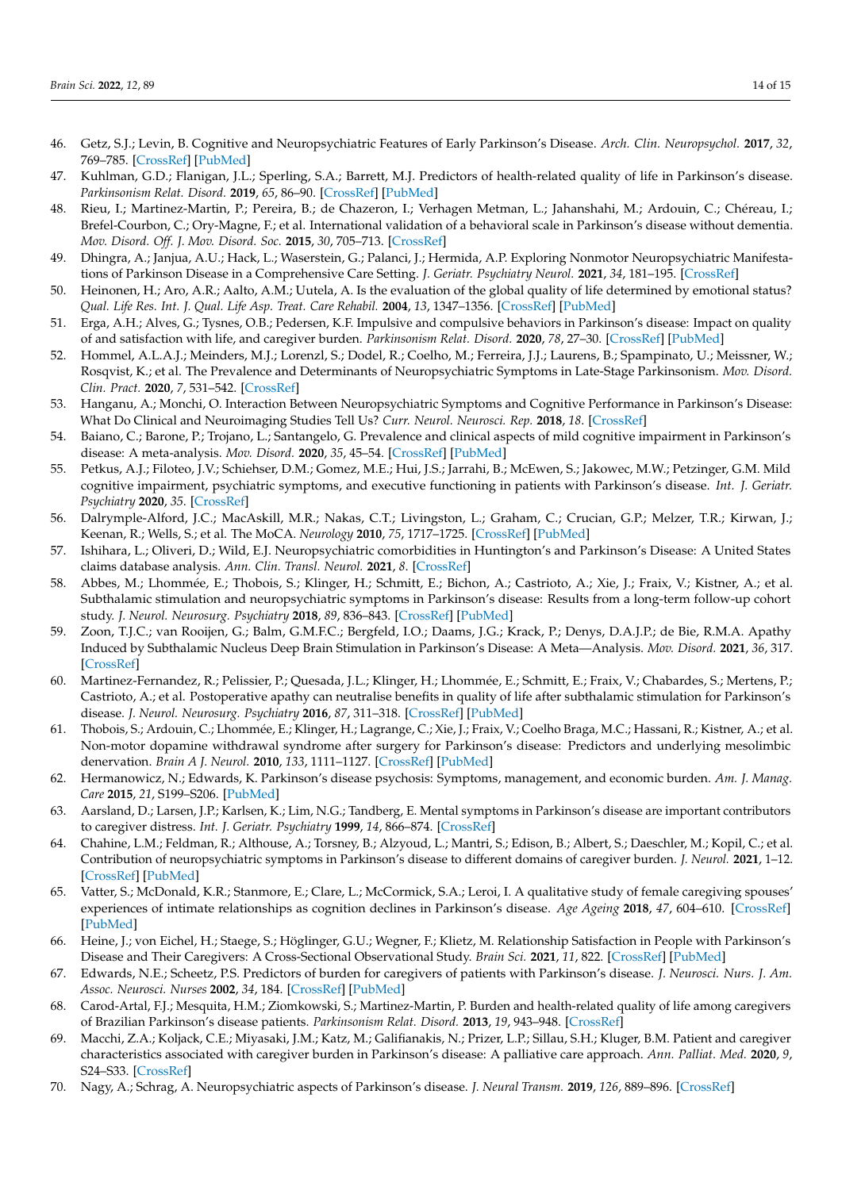- 46. Getz, S.J.; Levin, B. Cognitive and Neuropsychiatric Features of Early Parkinson's Disease. *Arch. Clin. Neuropsychol.* **2017**, *32*, 769–785. [CrossRef] [PubMed]
- 47. Kuhlman, G.D.; Flanigan, J.L.; Sperling, S.A.; Barrett, M.J. Predictors of health-related quality of life in Parkinson's disease. *Parkinsonism Relat. Disord.* **2019**, *65*, 86–90. [CrossRef] [PubMed]
- 48. Rieu, I.; Martinez-Martin, P.; Pereira, B.; de Chazeron, I.; Verhagen Metman, L.; Jahanshahi, M.; Ardouin, C.; Chéreau, I.; Brefel-Courbon, C.; Ory-Magne, F.; et al. International validation of a behavioral scale in Parkinson's disease without dementia. *Mov. Disord. Off. J. Mov. Disord. Soc.* **2015**, *30*, 705–713. [CrossRef]
- 49. Dhingra, A.; Janjua, A.U.; Hack, L.; Waserstein, G.; Palanci, J.; Hermida, A.P. Exploring Nonmotor Neuropsychiatric Manifestations of Parkinson Disease in a Comprehensive Care Setting. *J. Geriatr. Psychiatry Neurol.* **2021**, *34*, 181–195. [CrossRef]
- 50. Heinonen, H.; Aro, A.R.; Aalto, A.M.; Uutela, A. Is the evaluation of the global quality of life determined by emotional status? *Qual. Life Res. Int. J. Qual. Life Asp. Treat. Care Rehabil.* **2004**, *13*, 1347–1356. [CrossRef] [PubMed]
- 51. Erga, A.H.; Alves, G.; Tysnes, O.B.; Pedersen, K.F. Impulsive and compulsive behaviors in Parkinson's disease: Impact on quality of and satisfaction with life, and caregiver burden. *Parkinsonism Relat. Disord.* **2020**, *78*, 27–30. [CrossRef] [PubMed]
- 52. Hommel, A.L.A.J.; Meinders, M.J.; Lorenzl, S.; Dodel, R.; Coelho, M.; Ferreira, J.J.; Laurens, B.; Spampinato, U.; Meissner, W.; Rosqvist, K.; et al. The Prevalence and Determinants of Neuropsychiatric Symptoms in Late-Stage Parkinsonism. *Mov. Disord. Clin. Pract.* **2020**, *7*, 531–542. [CrossRef]
- 53. Hanganu, A.; Monchi, O. Interaction Between Neuropsychiatric Symptoms and Cognitive Performance in Parkinson's Disease: What Do Clinical and Neuroimaging Studies Tell Us? *Curr. Neurol. Neurosci. Rep.* **2018**, *18*. [CrossRef]
- 54. Baiano, C.; Barone, P.; Trojano, L.; Santangelo, G. Prevalence and clinical aspects of mild cognitive impairment in Parkinson's disease: A meta-analysis. *Mov. Disord.* **2020**, *35*, 45–54. [CrossRef] [PubMed]
- 55. Petkus, A.J.; Filoteo, J.V.; Schiehser, D.M.; Gomez, M.E.; Hui, J.S.; Jarrahi, B.; McEwen, S.; Jakowec, M.W.; Petzinger, G.M. Mild cognitive impairment, psychiatric symptoms, and executive functioning in patients with Parkinson's disease. *Int. J. Geriatr. Psychiatry* **2020**, *35*. [CrossRef]
- 56. Dalrymple-Alford, J.C.; MacAskill, M.R.; Nakas, C.T.; Livingston, L.; Graham, C.; Crucian, G.P.; Melzer, T.R.; Kirwan, J.; Keenan, R.; Wells, S.; et al. The MoCA. *Neurology* **2010**, *75*, 1717–1725. [CrossRef] [PubMed]
- 57. Ishihara, L.; Oliveri, D.; Wild, E.J. Neuropsychiatric comorbidities in Huntington's and Parkinson's Disease: A United States claims database analysis. *Ann. Clin. Transl. Neurol.* **2021**, *8*. [CrossRef]
- 58. Abbes, M.; Lhommée, E.; Thobois, S.; Klinger, H.; Schmitt, E.; Bichon, A.; Castrioto, A.; Xie, J.; Fraix, V.; Kistner, A.; et al. Subthalamic stimulation and neuropsychiatric symptoms in Parkinson's disease: Results from a long-term follow-up cohort study. *J. Neurol. Neurosurg. Psychiatry* **2018**, *89*, 836–843. [CrossRef] [PubMed]
- 59. Zoon, T.J.C.; van Rooijen, G.; Balm, G.M.F.C.; Bergfeld, I.O.; Daams, J.G.; Krack, P.; Denys, D.A.J.P.; de Bie, R.M.A. Apathy Induced by Subthalamic Nucleus Deep Brain Stimulation in Parkinson's Disease: A Meta—Analysis. *Mov. Disord.* **2021**, *36*, 317. [CrossRef]
- 60. Martinez-Fernandez, R.; Pelissier, P.; Quesada, J.L.; Klinger, H.; Lhommée, E.; Schmitt, E.; Fraix, V.; Chabardes, S.; Mertens, P.; Castrioto, A.; et al. Postoperative apathy can neutralise benefits in quality of life after subthalamic stimulation for Parkinson's disease. *J. Neurol. Neurosurg. Psychiatry* **2016**, *87*, 311–318. [CrossRef] [PubMed]
- 61. Thobois, S.; Ardouin, C.; Lhommée, E.; Klinger, H.; Lagrange, C.; Xie, J.; Fraix, V.; Coelho Braga, M.C.; Hassani, R.; Kistner, A.; et al. Non-motor dopamine withdrawal syndrome after surgery for Parkinson's disease: Predictors and underlying mesolimbic denervation. *Brain A J. Neurol.* **2010**, *133*, 1111–1127. [CrossRef] [PubMed]
- 62. Hermanowicz, N.; Edwards, K. Parkinson's disease psychosis: Symptoms, management, and economic burden. *Am. J. Manag. Care* **2015**, *21*, S199–S206. [PubMed]
- 63. Aarsland, D.; Larsen, J.P.; Karlsen, K.; Lim, N.G.; Tandberg, E. Mental symptoms in Parkinson's disease are important contributors to caregiver distress. *Int. J. Geriatr. Psychiatry* **1999**, *14*, 866–874. [CrossRef]
- 64. Chahine, L.M.; Feldman, R.; Althouse, A.; Torsney, B.; Alzyoud, L.; Mantri, S.; Edison, B.; Albert, S.; Daeschler, M.; Kopil, C.; et al. Contribution of neuropsychiatric symptoms in Parkinson's disease to different domains of caregiver burden. *J. Neurol.* **2021**, 1–12. [CrossRef] [PubMed]
- 65. Vatter, S.; McDonald, K.R.; Stanmore, E.; Clare, L.; McCormick, S.A.; Leroi, I. A qualitative study of female caregiving spouses' experiences of intimate relationships as cognition declines in Parkinson's disease. *Age Ageing* **2018**, *47*, 604–610. [CrossRef] [PubMed]
- 66. Heine, J.; von Eichel, H.; Staege, S.; Höglinger, G.U.; Wegner, F.; Klietz, M. Relationship Satisfaction in People with Parkinson's Disease and Their Caregivers: A Cross-Sectional Observational Study. *Brain Sci.* **2021**, *11*, 822. [CrossRef] [PubMed]
- 67. Edwards, N.E.; Scheetz, P.S. Predictors of burden for caregivers of patients with Parkinson's disease. *J. Neurosci. Nurs. J. Am. Assoc. Neurosci. Nurses* **2002**, *34*, 184. [CrossRef] [PubMed]
- 68. Carod-Artal, F.J.; Mesquita, H.M.; Ziomkowski, S.; Martinez-Martin, P. Burden and health-related quality of life among caregivers of Brazilian Parkinson's disease patients. *Parkinsonism Relat. Disord.* **2013**, *19*, 943–948. [CrossRef]
- 69. Macchi, Z.A.; Koljack, C.E.; Miyasaki, J.M.; Katz, M.; Galifianakis, N.; Prizer, L.P.; Sillau, S.H.; Kluger, B.M. Patient and caregiver characteristics associated with caregiver burden in Parkinson's disease: A palliative care approach. *Ann. Palliat. Med.* **2020**, *9*, S24–S33. [CrossRef]
- 70. Nagy, A.; Schrag, A. Neuropsychiatric aspects of Parkinson's disease. *J. Neural Transm.* **2019**, *126*, 889–896. [CrossRef]